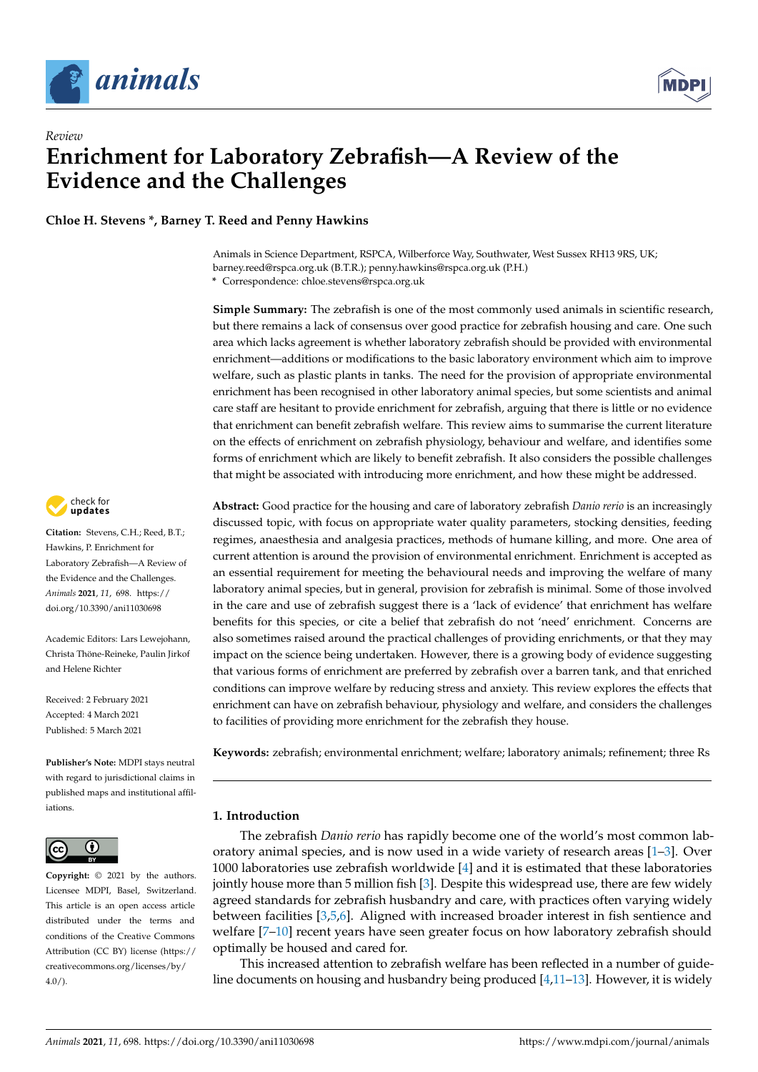

*Review*

# **Enrichment for Laboratory Zebrafish—A Review of the Evidence and the Challenges**

**Chloe H. Stevens \*, Barney T. Reed and Penny Hawkins**

Animals in Science Department, RSPCA, Wilberforce Way, Southwater, West Sussex RH13 9RS, UK; barney.reed@rspca.org.uk (B.T.R.); penny.hawkins@rspca.org.uk (P.H.)

**\*** Correspondence: chloe.stevens@rspca.org.uk

**Simple Summary:** The zebrafish is one of the most commonly used animals in scientific research, but there remains a lack of consensus over good practice for zebrafish housing and care. One such area which lacks agreement is whether laboratory zebrafish should be provided with environmental enrichment—additions or modifications to the basic laboratory environment which aim to improve welfare, such as plastic plants in tanks. The need for the provision of appropriate environmental enrichment has been recognised in other laboratory animal species, but some scientists and animal care staff are hesitant to provide enrichment for zebrafish, arguing that there is little or no evidence that enrichment can benefit zebrafish welfare. This review aims to summarise the current literature on the effects of enrichment on zebrafish physiology, behaviour and welfare, and identifies some forms of enrichment which are likely to benefit zebrafish. It also considers the possible challenges that might be associated with introducing more enrichment, and how these might be addressed.

**Abstract:** Good practice for the housing and care of laboratory zebrafish *Danio rerio* is an increasingly discussed topic, with focus on appropriate water quality parameters, stocking densities, feeding regimes, anaesthesia and analgesia practices, methods of humane killing, and more. One area of current attention is around the provision of environmental enrichment. Enrichment is accepted as an essential requirement for meeting the behavioural needs and improving the welfare of many laboratory animal species, but in general, provision for zebrafish is minimal. Some of those involved in the care and use of zebrafish suggest there is a 'lack of evidence' that enrichment has welfare benefits for this species, or cite a belief that zebrafish do not 'need' enrichment. Concerns are also sometimes raised around the practical challenges of providing enrichments, or that they may impact on the science being undertaken. However, there is a growing body of evidence suggesting that various forms of enrichment are preferred by zebrafish over a barren tank, and that enriched conditions can improve welfare by reducing stress and anxiety. This review explores the effects that enrichment can have on zebrafish behaviour, physiology and welfare, and considers the challenges to facilities of providing more enrichment for the zebrafish they house.

**Keywords:** zebrafish; environmental enrichment; welfare; laboratory animals; refinement; three Rs

## **1. Introduction**

The zebrafish *Danio rerio* has rapidly become one of the world's most common laboratory animal species, and is now used in a wide variety of research areas [\[1–](#page-16-0)[3\]](#page-16-1). Over 1000 laboratories use zebrafish worldwide [\[4\]](#page-16-2) and it is estimated that these laboratories jointly house more than 5 million fish [\[3\]](#page-16-1). Despite this widespread use, there are few widely agreed standards for zebrafish husbandry and care, with practices often varying widely between facilities [\[3](#page-16-1)[,5](#page-16-3)[,6\]](#page-16-4). Aligned with increased broader interest in fish sentience and welfare [\[7](#page-16-5)-10] recent years have seen greater focus on how laboratory zebrafish should optimally be housed and cared for.

This increased attention to zebrafish welfare has been reflected in a number of guide-line documents on housing and husbandry being produced [\[4,](#page-16-2)[11–](#page-16-7)[13\]](#page-16-8). However, it is widely



**Citation:** Stevens, C.H.; Reed, B.T.; Hawkins, P. Enrichment for Laboratory Zebrafish—A Review of the Evidence and the Challenges. *Animals* **2021**, *11*, 698. [https://](https://doi.org/10.3390/ani11030698) [doi.org/10.3390/ani11030698](https://doi.org/10.3390/ani11030698)

Academic Editors: Lars Lewejohann, Christa Thöne-Reineke, Paulin Jirkof and Helene Richter

Received: 2 February 2021 Accepted: 4 March 2021 Published: 5 March 2021

**Publisher's Note:** MDPI stays neutral with regard to jurisdictional claims in published maps and institutional affiliations.



**Copyright:** © 2021 by the authors. Licensee MDPI, Basel, Switzerland. This article is an open access article distributed under the terms and conditions of the Creative Commons Attribution (CC BY) license (https:/[/](https://creativecommons.org/licenses/by/4.0/) [creativecommons.org/licenses/by/](https://creativecommons.org/licenses/by/4.0/)  $4.0/$ ).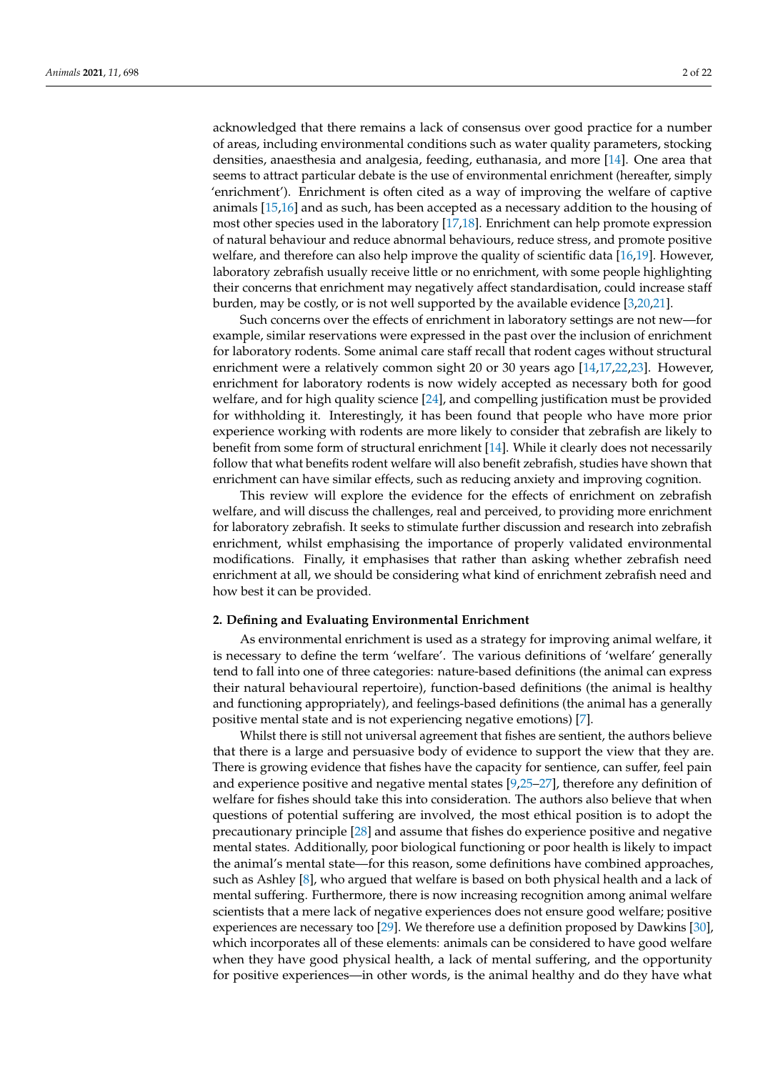acknowledged that there remains a lack of consensus over good practice for a number of areas, including environmental conditions such as water quality parameters, stocking densities, anaesthesia and analgesia, feeding, euthanasia, and more [\[14\]](#page-16-9). One area that seems to attract particular debate is the use of environmental enrichment (hereafter, simply 'enrichment'). Enrichment is often cited as a way of improving the welfare of captive animals [\[15](#page-16-10)[,16\]](#page-16-11) and as such, has been accepted as a necessary addition to the housing of most other species used in the laboratory [\[17,](#page-16-12)[18\]](#page-17-0). Enrichment can help promote expression of natural behaviour and reduce abnormal behaviours, reduce stress, and promote positive welfare, and therefore can also help improve the quality of scientific data [\[16,](#page-16-11)[19\]](#page-17-1). However, laboratory zebrafish usually receive little or no enrichment, with some people highlighting their concerns that enrichment may negatively affect standardisation, could increase staff burden, may be costly, or is not well supported by the available evidence [\[3,](#page-16-1)[20,](#page-17-2)[21\]](#page-17-3).

Such concerns over the effects of enrichment in laboratory settings are not new—for example, similar reservations were expressed in the past over the inclusion of enrichment for laboratory rodents. Some animal care staff recall that rodent cages without structural enrichment were a relatively common sight 20 or 30 years ago [\[14,](#page-16-9)[17,](#page-16-12)[22,](#page-17-4)[23\]](#page-17-5). However, enrichment for laboratory rodents is now widely accepted as necessary both for good welfare, and for high quality science [\[24\]](#page-17-6), and compelling justification must be provided for withholding it. Interestingly, it has been found that people who have more prior experience working with rodents are more likely to consider that zebrafish are likely to benefit from some form of structural enrichment [\[14\]](#page-16-9). While it clearly does not necessarily follow that what benefits rodent welfare will also benefit zebrafish, studies have shown that enrichment can have similar effects, such as reducing anxiety and improving cognition.

This review will explore the evidence for the effects of enrichment on zebrafish welfare, and will discuss the challenges, real and perceived, to providing more enrichment for laboratory zebrafish. It seeks to stimulate further discussion and research into zebrafish enrichment, whilst emphasising the importance of properly validated environmental modifications. Finally, it emphasises that rather than asking whether zebrafish need enrichment at all, we should be considering what kind of enrichment zebrafish need and how best it can be provided.

#### **2. Defining and Evaluating Environmental Enrichment**

As environmental enrichment is used as a strategy for improving animal welfare, it is necessary to define the term 'welfare'. The various definitions of 'welfare' generally tend to fall into one of three categories: nature-based definitions (the animal can express their natural behavioural repertoire), function-based definitions (the animal is healthy and functioning appropriately), and feelings-based definitions (the animal has a generally positive mental state and is not experiencing negative emotions) [\[7\]](#page-16-5).

Whilst there is still not universal agreement that fishes are sentient, the authors believe that there is a large and persuasive body of evidence to support the view that they are. There is growing evidence that fishes have the capacity for sentience, can suffer, feel pain and experience positive and negative mental states [\[9,](#page-16-13)[25–](#page-17-7)[27\]](#page-17-8), therefore any definition of welfare for fishes should take this into consideration. The authors also believe that when questions of potential suffering are involved, the most ethical position is to adopt the precautionary principle [\[28\]](#page-17-9) and assume that fishes do experience positive and negative mental states. Additionally, poor biological functioning or poor health is likely to impact the animal's mental state—for this reason, some definitions have combined approaches, such as Ashley [\[8\]](#page-16-14), who argued that welfare is based on both physical health and a lack of mental suffering. Furthermore, there is now increasing recognition among animal welfare scientists that a mere lack of negative experiences does not ensure good welfare; positive experiences are necessary too [\[29\]](#page-17-10). We therefore use a definition proposed by Dawkins [\[30\]](#page-17-11), which incorporates all of these elements: animals can be considered to have good welfare when they have good physical health, a lack of mental suffering, and the opportunity for positive experiences—in other words, is the animal healthy and do they have what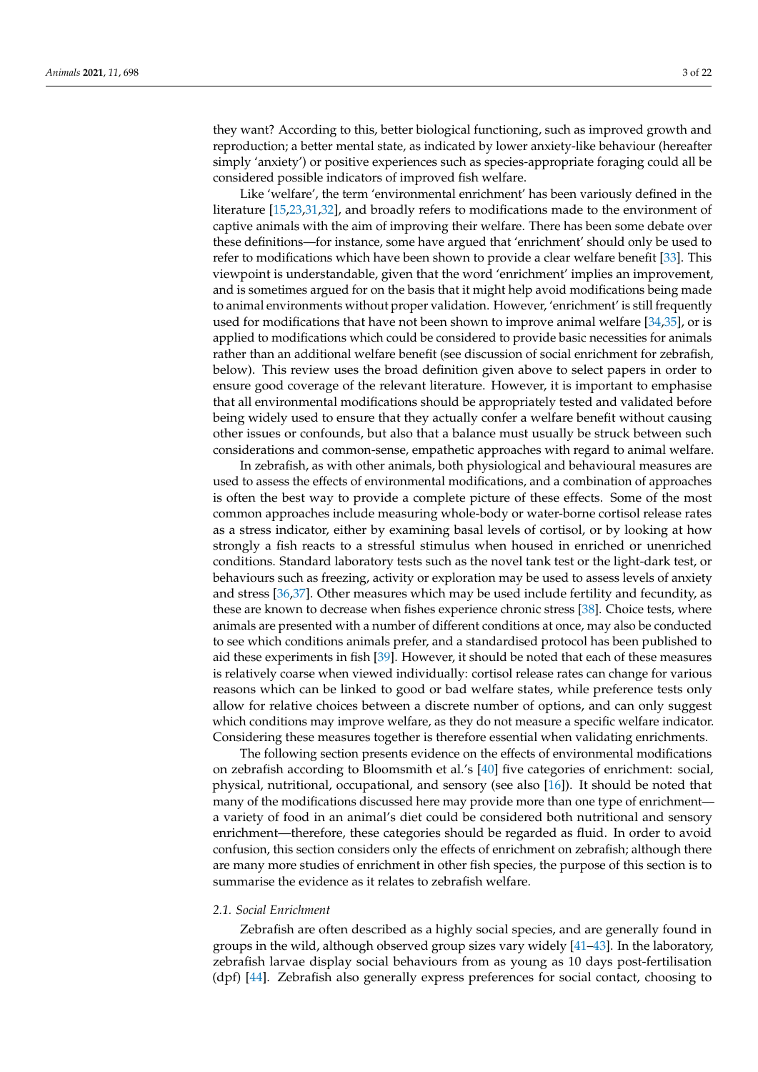they want? According to this, better biological functioning, such as improved growth and reproduction; a better mental state, as indicated by lower anxiety-like behaviour (hereafter simply 'anxiety') or positive experiences such as species-appropriate foraging could all be considered possible indicators of improved fish welfare.

Like 'welfare', the term 'environmental enrichment' has been variously defined in the literature [\[15](#page-16-10)[,23](#page-17-5)[,31](#page-17-12)[,32\]](#page-17-13), and broadly refers to modifications made to the environment of captive animals with the aim of improving their welfare. There has been some debate over these definitions—for instance, some have argued that 'enrichment' should only be used to refer to modifications which have been shown to provide a clear welfare benefit [\[33\]](#page-17-14). This viewpoint is understandable, given that the word 'enrichment' implies an improvement, and is sometimes argued for on the basis that it might help avoid modifications being made to animal environments without proper validation. However, 'enrichment' is still frequently used for modifications that have not been shown to improve animal welfare [\[34](#page-17-15)[,35\]](#page-17-16), or is applied to modifications which could be considered to provide basic necessities for animals rather than an additional welfare benefit (see discussion of social enrichment for zebrafish, below). This review uses the broad definition given above to select papers in order to ensure good coverage of the relevant literature. However, it is important to emphasise that all environmental modifications should be appropriately tested and validated before being widely used to ensure that they actually confer a welfare benefit without causing other issues or confounds, but also that a balance must usually be struck between such considerations and common-sense, empathetic approaches with regard to animal welfare.

In zebrafish, as with other animals, both physiological and behavioural measures are used to assess the effects of environmental modifications, and a combination of approaches is often the best way to provide a complete picture of these effects. Some of the most common approaches include measuring whole-body or water-borne cortisol release rates as a stress indicator, either by examining basal levels of cortisol, or by looking at how strongly a fish reacts to a stressful stimulus when housed in enriched or unenriched conditions. Standard laboratory tests such as the novel tank test or the light-dark test, or behaviours such as freezing, activity or exploration may be used to assess levels of anxiety and stress [\[36,](#page-17-17)[37\]](#page-17-18). Other measures which may be used include fertility and fecundity, as these are known to decrease when fishes experience chronic stress [\[38\]](#page-17-19). Choice tests, where animals are presented with a number of different conditions at once, may also be conducted to see which conditions animals prefer, and a standardised protocol has been published to aid these experiments in fish [\[39\]](#page-17-20). However, it should be noted that each of these measures is relatively coarse when viewed individually: cortisol release rates can change for various reasons which can be linked to good or bad welfare states, while preference tests only allow for relative choices between a discrete number of options, and can only suggest which conditions may improve welfare, as they do not measure a specific welfare indicator. Considering these measures together is therefore essential when validating enrichments.

The following section presents evidence on the effects of environmental modifications on zebrafish according to Bloomsmith et al.'s [\[40\]](#page-17-21) five categories of enrichment: social, physical, nutritional, occupational, and sensory (see also [\[16\]](#page-16-11)). It should be noted that many of the modifications discussed here may provide more than one type of enrichment a variety of food in an animal's diet could be considered both nutritional and sensory enrichment—therefore, these categories should be regarded as fluid. In order to avoid confusion, this section considers only the effects of enrichment on zebrafish; although there are many more studies of enrichment in other fish species, the purpose of this section is to summarise the evidence as it relates to zebrafish welfare.

## *2.1. Social Enrichment*

Zebrafish are often described as a highly social species, and are generally found in groups in the wild, although observed group sizes vary widely [\[41](#page-17-22)[–43\]](#page-17-23). In the laboratory, zebrafish larvae display social behaviours from as young as 10 days post-fertilisation (dpf) [\[44\]](#page-17-24). Zebrafish also generally express preferences for social contact, choosing to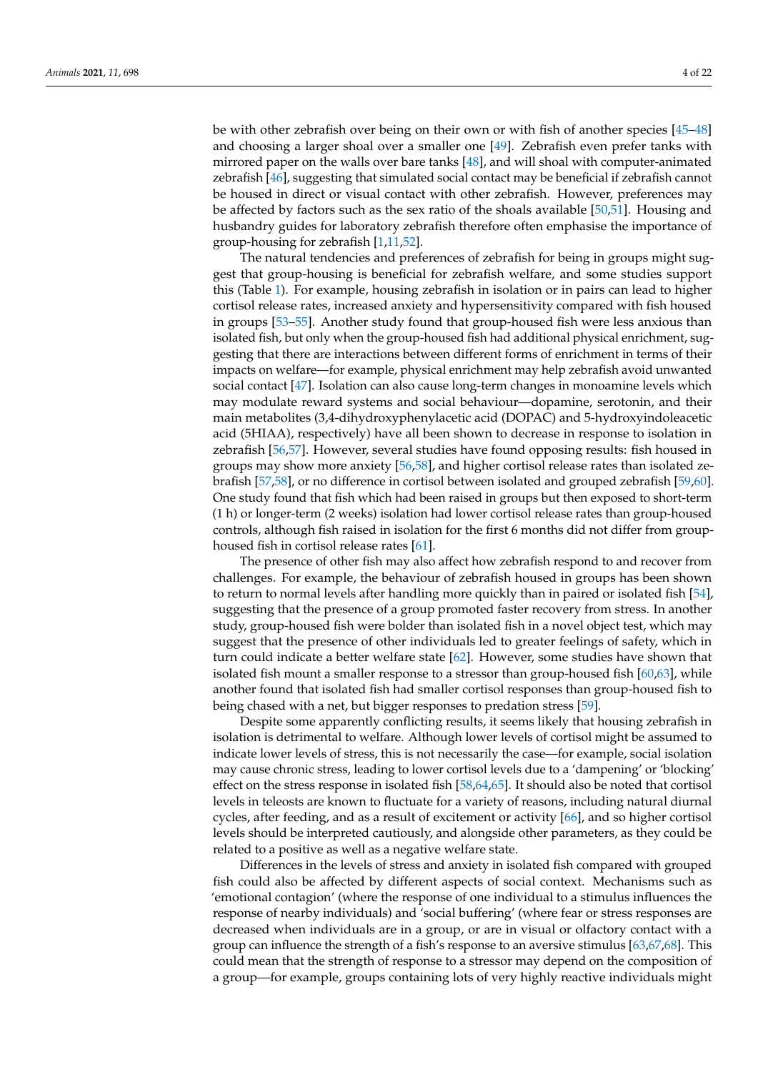be with other zebrafish over being on their own or with fish of another species [\[45–](#page-17-25)[48\]](#page-17-26) and choosing a larger shoal over a smaller one [\[49\]](#page-17-27). Zebrafish even prefer tanks with mirrored paper on the walls over bare tanks [\[48\]](#page-17-26), and will shoal with computer-animated zebrafish [\[46\]](#page-17-28), suggesting that simulated social contact may be beneficial if zebrafish cannot be housed in direct or visual contact with other zebrafish. However, preferences may be affected by factors such as the sex ratio of the shoals available [\[50](#page-17-29)[,51\]](#page-18-0). Housing and husbandry guides for laboratory zebrafish therefore often emphasise the importance of group-housing for zebrafish [\[1,](#page-16-0)[11,](#page-16-7)[52\]](#page-18-1).

The natural tendencies and preferences of zebrafish for being in groups might suggest that group-housing is beneficial for zebrafish welfare, and some studies support this (Table [1\)](#page-5-0). For example, housing zebrafish in isolation or in pairs can lead to higher cortisol release rates, increased anxiety and hypersensitivity compared with fish housed in groups [\[53–](#page-18-2)[55\]](#page-18-3). Another study found that group-housed fish were less anxious than isolated fish, but only when the group-housed fish had additional physical enrichment, suggesting that there are interactions between different forms of enrichment in terms of their impacts on welfare—for example, physical enrichment may help zebrafish avoid unwanted social contact [\[47\]](#page-17-30). Isolation can also cause long-term changes in monoamine levels which may modulate reward systems and social behaviour—dopamine, serotonin, and their main metabolites (3,4-dihydroxyphenylacetic acid (DOPAC) and 5-hydroxyindoleacetic acid (5HIAA), respectively) have all been shown to decrease in response to isolation in zebrafish [\[56](#page-18-4)[,57\]](#page-18-5). However, several studies have found opposing results: fish housed in groups may show more anxiety [\[56,](#page-18-4)[58\]](#page-18-6), and higher cortisol release rates than isolated zebrafish [\[57](#page-18-5)[,58\]](#page-18-6), or no difference in cortisol between isolated and grouped zebrafish [\[59](#page-18-7)[,60\]](#page-18-8). One study found that fish which had been raised in groups but then exposed to short-term (1 h) or longer-term (2 weeks) isolation had lower cortisol release rates than group-housed controls, although fish raised in isolation for the first 6 months did not differ from grouphoused fish in cortisol release rates [\[61\]](#page-18-9).

The presence of other fish may also affect how zebrafish respond to and recover from challenges. For example, the behaviour of zebrafish housed in groups has been shown to return to normal levels after handling more quickly than in paired or isolated fish [\[54\]](#page-18-10), suggesting that the presence of a group promoted faster recovery from stress. In another study, group-housed fish were bolder than isolated fish in a novel object test, which may suggest that the presence of other individuals led to greater feelings of safety, which in turn could indicate a better welfare state [\[62\]](#page-18-11). However, some studies have shown that isolated fish mount a smaller response to a stressor than group-housed fish [\[60,](#page-18-8)[63\]](#page-18-12), while another found that isolated fish had smaller cortisol responses than group-housed fish to being chased with a net, but bigger responses to predation stress [\[59\]](#page-18-7).

Despite some apparently conflicting results, it seems likely that housing zebrafish in isolation is detrimental to welfare. Although lower levels of cortisol might be assumed to indicate lower levels of stress, this is not necessarily the case—for example, social isolation may cause chronic stress, leading to lower cortisol levels due to a 'dampening' or 'blocking' effect on the stress response in isolated fish [\[58,](#page-18-6)[64,](#page-18-13)[65\]](#page-18-14). It should also be noted that cortisol levels in teleosts are known to fluctuate for a variety of reasons, including natural diurnal cycles, after feeding, and as a result of excitement or activity [\[66\]](#page-18-15), and so higher cortisol levels should be interpreted cautiously, and alongside other parameters, as they could be related to a positive as well as a negative welfare state.

Differences in the levels of stress and anxiety in isolated fish compared with grouped fish could also be affected by different aspects of social context. Mechanisms such as 'emotional contagion' (where the response of one individual to a stimulus influences the response of nearby individuals) and 'social buffering' (where fear or stress responses are decreased when individuals are in a group, or are in visual or olfactory contact with a group can influence the strength of a fish's response to an aversive stimulus [\[63,](#page-18-12)[67,](#page-18-16)[68\]](#page-18-17). This could mean that the strength of response to a stressor may depend on the composition of a group—for example, groups containing lots of very highly reactive individuals might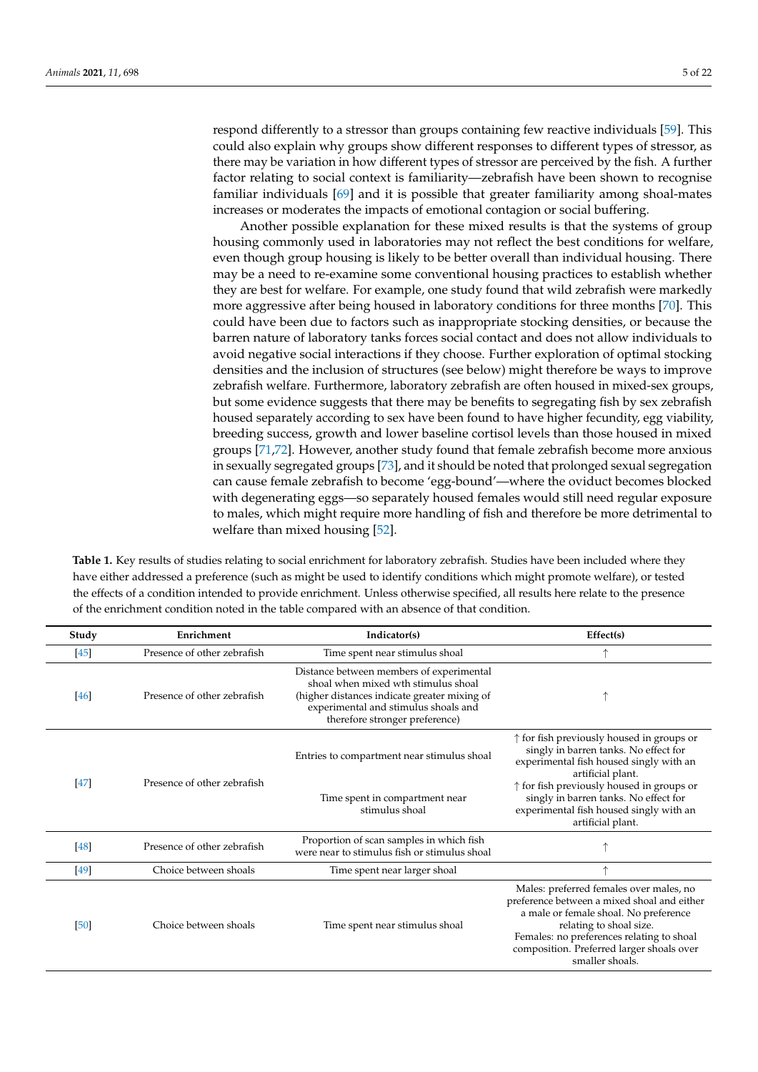respond differently to a stressor than groups containing few reactive individuals [\[59\]](#page-18-7). This could also explain why groups show different responses to different types of stressor, as there may be variation in how different types of stressor are perceived by the fish. A further factor relating to social context is familiarity—zebrafish have been shown to recognise familiar individuals [\[69\]](#page-18-18) and it is possible that greater familiarity among shoal-mates increases or moderates the impacts of emotional contagion or social buffering.

Another possible explanation for these mixed results is that the systems of group housing commonly used in laboratories may not reflect the best conditions for welfare, even though group housing is likely to be better overall than individual housing. There may be a need to re-examine some conventional housing practices to establish whether they are best for welfare. For example, one study found that wild zebrafish were markedly more aggressive after being housed in laboratory conditions for three months [\[70\]](#page-18-19). This could have been due to factors such as inappropriate stocking densities, or because the barren nature of laboratory tanks forces social contact and does not allow individuals to avoid negative social interactions if they choose. Further exploration of optimal stocking densities and the inclusion of structures (see below) might therefore be ways to improve zebrafish welfare. Furthermore, laboratory zebrafish are often housed in mixed-sex groups, but some evidence suggests that there may be benefits to segregating fish by sex zebrafish housed separately according to sex have been found to have higher fecundity, egg viability, breeding success, growth and lower baseline cortisol levels than those housed in mixed groups [\[71](#page-18-20)[,72\]](#page-18-21). However, another study found that female zebrafish become more anxious in sexually segregated groups [\[73\]](#page-18-22), and it should be noted that prolonged sexual segregation can cause female zebrafish to become 'egg-bound'—where the oviduct becomes blocked with degenerating eggs—so separately housed females would still need regular exposure to males, which might require more handling of fish and therefore be more detrimental to welfare than mixed housing [\[52\]](#page-18-1).

**Table 1.** Key results of studies relating to social enrichment for laboratory zebrafish. Studies have been included where they have either addressed a preference (such as might be used to identify conditions which might promote welfare), or tested the effects of a condition intended to provide enrichment. Unless otherwise specified, all results here relate to the presence of the enrichment condition noted in the table compared with an absence of that condition.

| Study  | Enrichment                  | Indicator(s)                                                                                                                                                                                              | Effect(s)                                                                                                                                                                                                                                                               |
|--------|-----------------------------|-----------------------------------------------------------------------------------------------------------------------------------------------------------------------------------------------------------|-------------------------------------------------------------------------------------------------------------------------------------------------------------------------------------------------------------------------------------------------------------------------|
| [45]   | Presence of other zebrafish | Time spent near stimulus shoal                                                                                                                                                                            |                                                                                                                                                                                                                                                                         |
| [46]   | Presence of other zebrafish | Distance between members of experimental<br>shoal when mixed wth stimulus shoal<br>(higher distances indicate greater mixing of<br>experimental and stimulus shoals and<br>therefore stronger preference) |                                                                                                                                                                                                                                                                         |
|        | Presence of other zebrafish | Entries to compartment near stimulus shoal                                                                                                                                                                | $\uparrow$ for fish previously housed in groups or<br>singly in barren tanks. No effect for<br>experimental fish housed singly with an<br>artificial plant.                                                                                                             |
| $[47]$ |                             | Time spent in compartment near<br>stimulus shoal                                                                                                                                                          | $\uparrow$ for fish previously housed in groups or<br>singly in barren tanks. No effect for<br>experimental fish housed singly with an<br>artificial plant.                                                                                                             |
| [48]   | Presence of other zebrafish | Proportion of scan samples in which fish<br>were near to stimulus fish or stimulus shoal                                                                                                                  |                                                                                                                                                                                                                                                                         |
| $[49]$ | Choice between shoals       | Time spent near larger shoal                                                                                                                                                                              |                                                                                                                                                                                                                                                                         |
| [50]   | Choice between shoals       | Time spent near stimulus shoal                                                                                                                                                                            | Males: preferred females over males, no<br>preference between a mixed shoal and either<br>a male or female shoal. No preference<br>relating to shoal size.<br>Females: no preferences relating to shoal<br>composition. Preferred larger shoals over<br>smaller shoals. |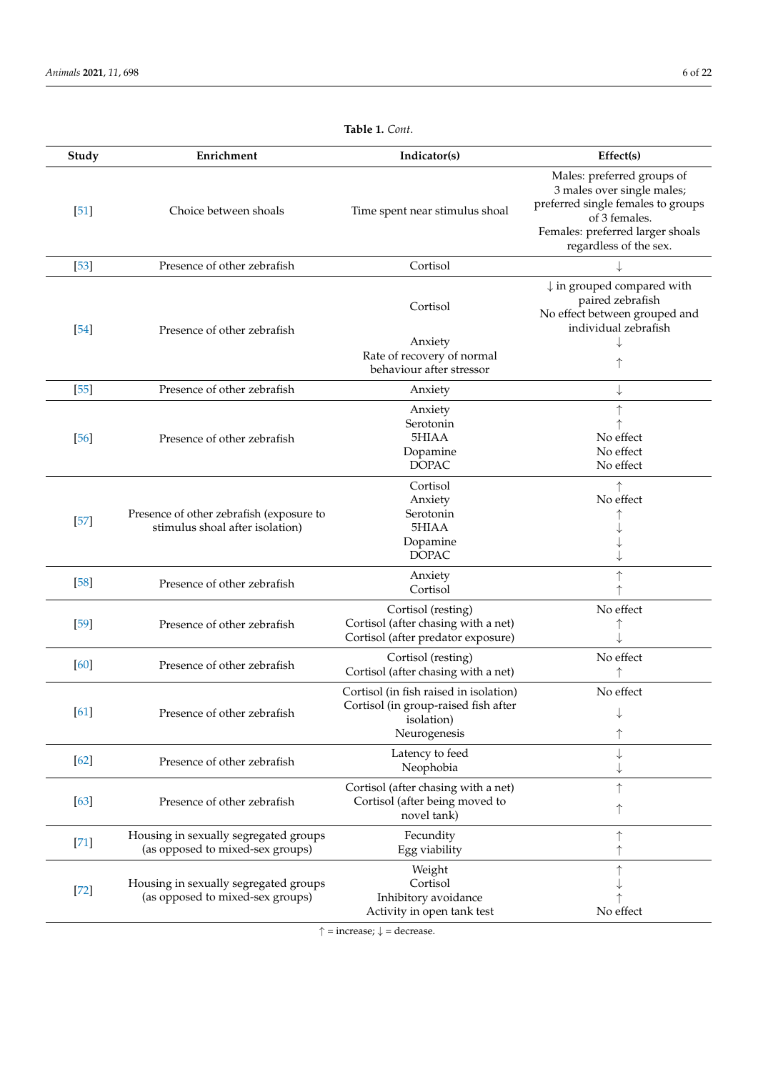<span id="page-5-0"></span>

| Study  | Enrichment                                                                  | Indicator(s)                                                                                                 | Effect(s)                                                                                                                                                                     |
|--------|-----------------------------------------------------------------------------|--------------------------------------------------------------------------------------------------------------|-------------------------------------------------------------------------------------------------------------------------------------------------------------------------------|
| [51]   | Choice between shoals                                                       | Time spent near stimulus shoal                                                                               | Males: preferred groups of<br>3 males over single males;<br>preferred single females to groups<br>of 3 females.<br>Females: preferred larger shoals<br>regardless of the sex. |
| $[53]$ | Presence of other zebrafish                                                 | Cortisol                                                                                                     |                                                                                                                                                                               |
| $[54]$ | Presence of other zebrafish                                                 | Cortisol                                                                                                     | $\downarrow$ in grouped compared with<br>paired zebrafish<br>No effect between grouped and<br>individual zebrafish                                                            |
|        |                                                                             | Anxiety<br>Rate of recovery of normal<br>behaviour after stressor                                            |                                                                                                                                                                               |
| $[55]$ | Presence of other zebrafish                                                 | Anxiety                                                                                                      | ↓                                                                                                                                                                             |
| [56]   | Presence of other zebrafish                                                 | Anxiety<br>Serotonin<br>5HIAA<br>Dopamine<br><b>DOPAC</b>                                                    | No effect<br>No effect<br>No effect                                                                                                                                           |
| $[57]$ | Presence of other zebrafish (exposure to<br>stimulus shoal after isolation) | Cortisol<br>Anxiety<br>Serotonin<br>5HIAA<br>Dopamine<br><b>DOPAC</b>                                        | No effect                                                                                                                                                                     |
| $[58]$ | Presence of other zebrafish                                                 | Anxiety<br>Cortisol                                                                                          |                                                                                                                                                                               |
| $[59]$ | Presence of other zebrafish                                                 | Cortisol (resting)<br>Cortisol (after chasing with a net)<br>Cortisol (after predator exposure)              | No effect                                                                                                                                                                     |
| [60]   | Presence of other zebrafish                                                 | Cortisol (resting)<br>Cortisol (after chasing with a net)                                                    | No effect<br>↑                                                                                                                                                                |
| [61]   | Presence of other zebrafish                                                 | Cortisol (in fish raised in isolation)<br>Cortisol (in group-raised fish after<br>(1solation<br>Neurogenesis | No effect<br>↓                                                                                                                                                                |
| [62]   | Presence of other zebrafish                                                 | Latency to feed<br>Neophobia                                                                                 | ↓                                                                                                                                                                             |
| $[63]$ | Presence of other zebrafish                                                 | Cortisol (after chasing with a net)<br>Cortisol (after being moved to<br>novel tank)                         |                                                                                                                                                                               |
| $[71]$ | Housing in sexually segregated groups<br>(as opposed to mixed-sex groups)   | Fecundity<br>Egg viability                                                                                   |                                                                                                                                                                               |
| $[72]$ | Housing in sexually segregated groups<br>(as opposed to mixed-sex groups)   | Weight<br>Cortisol<br>Inhibitory avoidance<br>Activity in open tank test                                     | No effect                                                                                                                                                                     |

**Table 1.** *Cont*.

 $\uparrow$  = increase;  $\downarrow$  = decrease.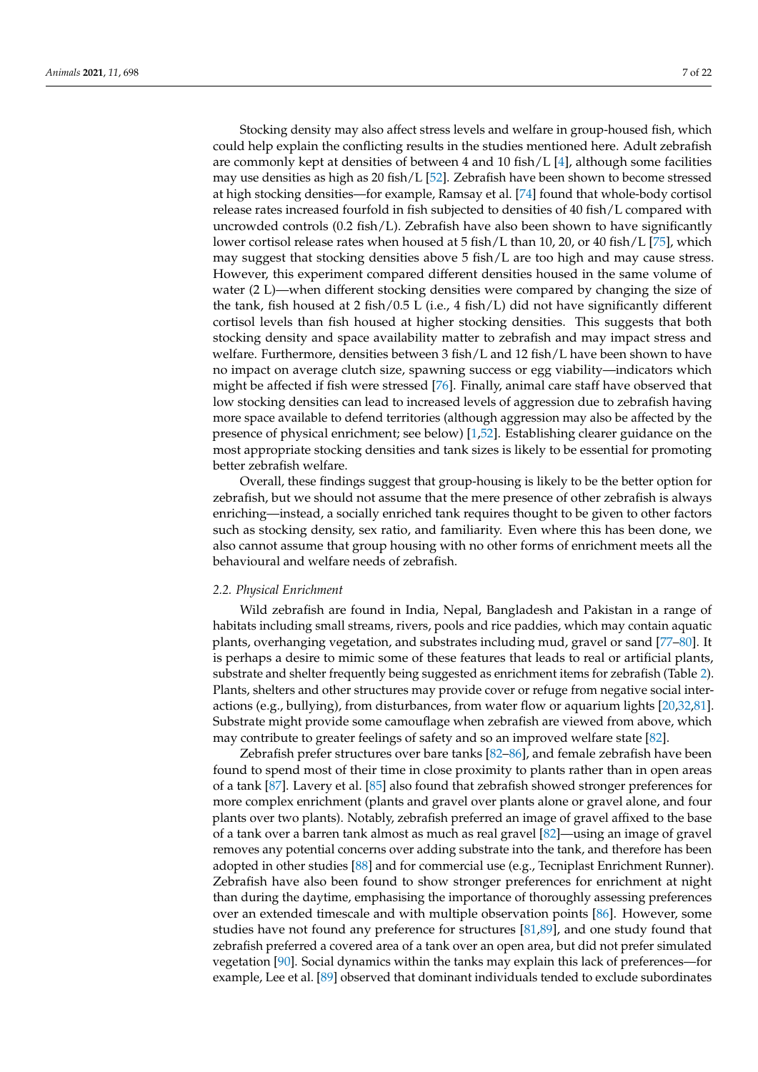Stocking density may also affect stress levels and welfare in group-housed fish, which could help explain the conflicting results in the studies mentioned here. Adult zebrafish are commonly kept at densities of between 4 and 10 fish/L  $[4]$ , although some facilities may use densities as high as 20 fish/L  $[52]$ . Zebrafish have been shown to become stressed at high stocking densities—for example, Ramsay et al. [\[74\]](#page-18-23) found that whole-body cortisol release rates increased fourfold in fish subjected to densities of 40 fish/L compared with uncrowded controls (0.2 fish/L). Zebrafish have also been shown to have significantly lower cortisol release rates when housed at 5 fish/L than 10, 20, or 40 fish/L [\[75\]](#page-18-24), which may suggest that stocking densities above 5 fish/L are too high and may cause stress. However, this experiment compared different densities housed in the same volume of water (2 L)—when different stocking densities were compared by changing the size of the tank, fish housed at 2 fish/0.5 L (i.e., 4 fish/L) did not have significantly different cortisol levels than fish housed at higher stocking densities. This suggests that both stocking density and space availability matter to zebrafish and may impact stress and welfare. Furthermore, densities between 3 fish/L and 12 fish/L have been shown to have no impact on average clutch size, spawning success or egg viability—indicators which might be affected if fish were stressed [\[76\]](#page-18-25). Finally, animal care staff have observed that low stocking densities can lead to increased levels of aggression due to zebrafish having more space available to defend territories (although aggression may also be affected by the presence of physical enrichment; see below) [\[1,](#page-16-0)[52\]](#page-18-1). Establishing clearer guidance on the most appropriate stocking densities and tank sizes is likely to be essential for promoting better zebrafish welfare.

Overall, these findings suggest that group-housing is likely to be the better option for zebrafish, but we should not assume that the mere presence of other zebrafish is always enriching—instead, a socially enriched tank requires thought to be given to other factors such as stocking density, sex ratio, and familiarity. Even where this has been done, we also cannot assume that group housing with no other forms of enrichment meets all the behavioural and welfare needs of zebrafish.

#### *2.2. Physical Enrichment*

Wild zebrafish are found in India, Nepal, Bangladesh and Pakistan in a range of habitats including small streams, rivers, pools and rice paddies, which may contain aquatic plants, overhanging vegetation, and substrates including mud, gravel or sand [\[77–](#page-18-26)[80\]](#page-19-0). It is perhaps a desire to mimic some of these features that leads to real or artificial plants, substrate and shelter frequently being suggested as enrichment items for zebrafish (Table [2\)](#page-9-0). Plants, shelters and other structures may provide cover or refuge from negative social interactions (e.g., bullying), from disturbances, from water flow or aquarium lights [\[20](#page-17-2)[,32,](#page-17-13)[81\]](#page-19-1). Substrate might provide some camouflage when zebrafish are viewed from above, which may contribute to greater feelings of safety and so an improved welfare state [\[82\]](#page-19-2).

Zebrafish prefer structures over bare tanks [\[82–](#page-19-2)[86\]](#page-19-3), and female zebrafish have been found to spend most of their time in close proximity to plants rather than in open areas of a tank [\[87\]](#page-19-4). Lavery et al. [\[85\]](#page-19-5) also found that zebrafish showed stronger preferences for more complex enrichment (plants and gravel over plants alone or gravel alone, and four plants over two plants). Notably, zebrafish preferred an image of gravel affixed to the base of a tank over a barren tank almost as much as real gravel [\[82\]](#page-19-2)—using an image of gravel removes any potential concerns over adding substrate into the tank, and therefore has been adopted in other studies [\[88\]](#page-19-6) and for commercial use (e.g., Tecniplast Enrichment Runner). Zebrafish have also been found to show stronger preferences for enrichment at night than during the daytime, emphasising the importance of thoroughly assessing preferences over an extended timescale and with multiple observation points [\[86\]](#page-19-3). However, some studies have not found any preference for structures [\[81,](#page-19-1)[89\]](#page-19-7), and one study found that zebrafish preferred a covered area of a tank over an open area, but did not prefer simulated vegetation [\[90\]](#page-19-8). Social dynamics within the tanks may explain this lack of preferences—for example, Lee et al. [\[89\]](#page-19-7) observed that dominant individuals tended to exclude subordinates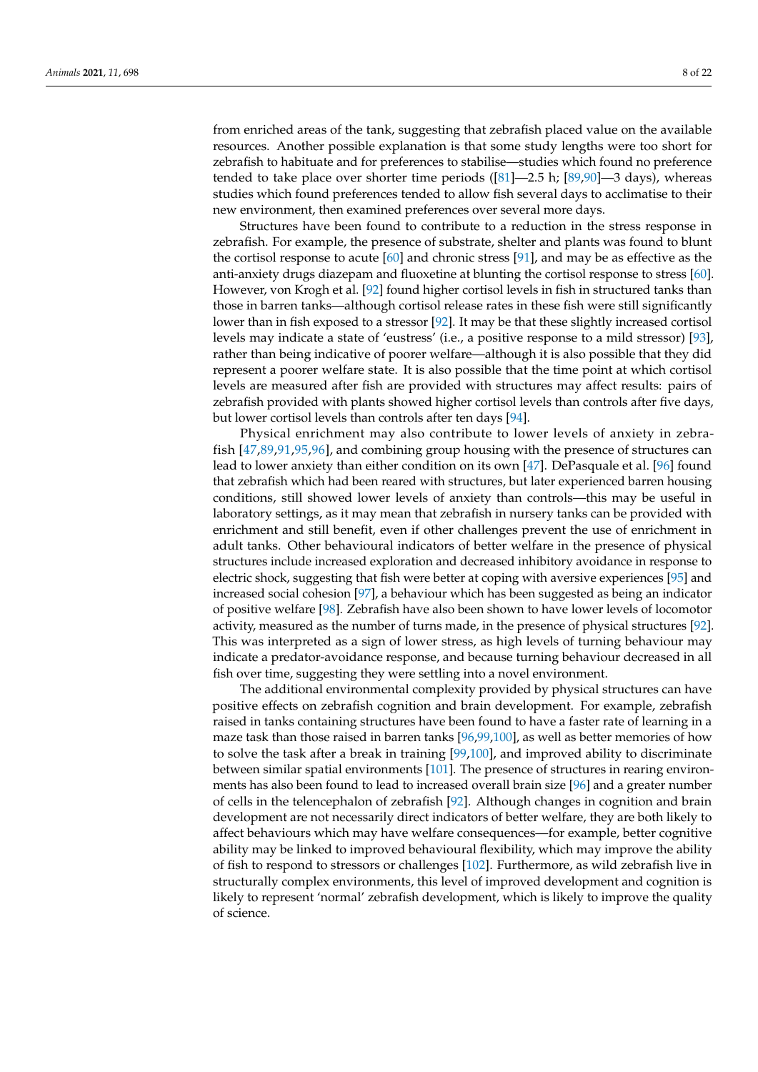from enriched areas of the tank, suggesting that zebrafish placed value on the available resources. Another possible explanation is that some study lengths were too short for zebrafish to habituate and for preferences to stabilise—studies which found no preference tended to take place over shorter time periods ([\[81\]](#page-19-1)—2.5 h; [\[89](#page-19-7)[,90\]](#page-19-8)—3 days), whereas studies which found preferences tended to allow fish several days to acclimatise to their new environment, then examined preferences over several more days.

Structures have been found to contribute to a reduction in the stress response in zebrafish. For example, the presence of substrate, shelter and plants was found to blunt the cortisol response to acute [\[60\]](#page-18-8) and chronic stress [\[91\]](#page-19-9), and may be as effective as the anti-anxiety drugs diazepam and fluoxetine at blunting the cortisol response to stress [\[60\]](#page-18-8). However, von Krogh et al. [\[92\]](#page-19-10) found higher cortisol levels in fish in structured tanks than those in barren tanks—although cortisol release rates in these fish were still significantly lower than in fish exposed to a stressor [\[92\]](#page-19-10). It may be that these slightly increased cortisol levels may indicate a state of 'eustress' (i.e., a positive response to a mild stressor) [\[93\]](#page-19-11), rather than being indicative of poorer welfare—although it is also possible that they did represent a poorer welfare state. It is also possible that the time point at which cortisol levels are measured after fish are provided with structures may affect results: pairs of zebrafish provided with plants showed higher cortisol levels than controls after five days, but lower cortisol levels than controls after ten days [\[94\]](#page-19-12).

Physical enrichment may also contribute to lower levels of anxiety in zebrafish [\[47,](#page-17-30)[89](#page-19-7)[,91](#page-19-9)[,95,](#page-19-13)[96\]](#page-19-14), and combining group housing with the presence of structures can lead to lower anxiety than either condition on its own [\[47\]](#page-17-30). DePasquale et al. [\[96\]](#page-19-14) found that zebrafish which had been reared with structures, but later experienced barren housing conditions, still showed lower levels of anxiety than controls—this may be useful in laboratory settings, as it may mean that zebrafish in nursery tanks can be provided with enrichment and still benefit, even if other challenges prevent the use of enrichment in adult tanks. Other behavioural indicators of better welfare in the presence of physical structures include increased exploration and decreased inhibitory avoidance in response to electric shock, suggesting that fish were better at coping with aversive experiences [\[95\]](#page-19-13) and increased social cohesion [\[97\]](#page-19-15), a behaviour which has been suggested as being an indicator of positive welfare [\[98\]](#page-19-16). Zebrafish have also been shown to have lower levels of locomotor activity, measured as the number of turns made, in the presence of physical structures [\[92\]](#page-19-10). This was interpreted as a sign of lower stress, as high levels of turning behaviour may indicate a predator-avoidance response, and because turning behaviour decreased in all fish over time, suggesting they were settling into a novel environment.

The additional environmental complexity provided by physical structures can have positive effects on zebrafish cognition and brain development. For example, zebrafish raised in tanks containing structures have been found to have a faster rate of learning in a maze task than those raised in barren tanks [\[96,](#page-19-14)[99](#page-19-17)[,100\]](#page-19-18), as well as better memories of how to solve the task after a break in training [\[99,](#page-19-17)[100\]](#page-19-18), and improved ability to discriminate between similar spatial environments [\[101\]](#page-19-19). The presence of structures in rearing environments has also been found to lead to increased overall brain size [\[96\]](#page-19-14) and a greater number of cells in the telencephalon of zebrafish [\[92\]](#page-19-10). Although changes in cognition and brain development are not necessarily direct indicators of better welfare, they are both likely to affect behaviours which may have welfare consequences—for example, better cognitive ability may be linked to improved behavioural flexibility, which may improve the ability of fish to respond to stressors or challenges [\[102\]](#page-19-20). Furthermore, as wild zebrafish live in structurally complex environments, this level of improved development and cognition is likely to represent 'normal' zebrafish development, which is likely to improve the quality of science.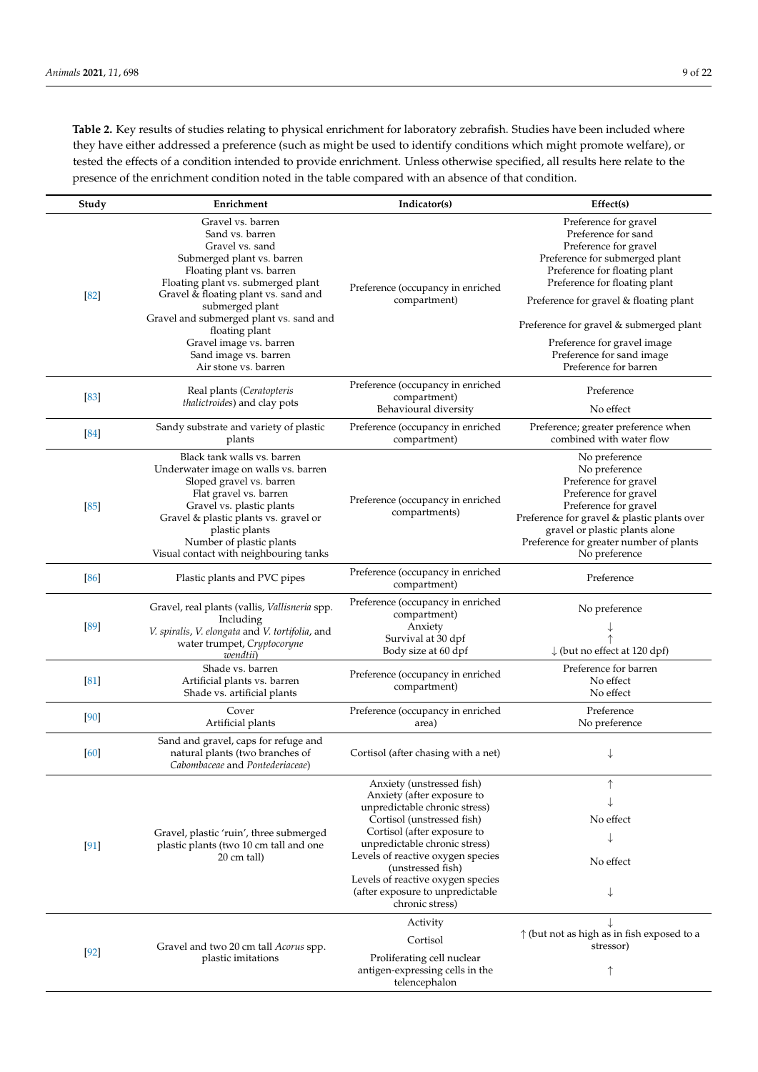**Table 2.** Key results of studies relating to physical enrichment for laboratory zebrafish. Studies have been included where they have either addressed a preference (such as might be used to identify conditions which might promote welfare), or tested the effects of a condition intended to provide enrichment. Unless otherwise specified, all results here relate to the presence of the enrichment condition noted in the table compared with an absence of that condition.

| Study  | Enrichment                                                                                                                                                                                                                                                                                                                           | Indicator(s)                                                                                                                                                                                                                                                                                                                                 | Effect(s)                                                                                                                                                                                                                                                                                                                  |
|--------|--------------------------------------------------------------------------------------------------------------------------------------------------------------------------------------------------------------------------------------------------------------------------------------------------------------------------------------|----------------------------------------------------------------------------------------------------------------------------------------------------------------------------------------------------------------------------------------------------------------------------------------------------------------------------------------------|----------------------------------------------------------------------------------------------------------------------------------------------------------------------------------------------------------------------------------------------------------------------------------------------------------------------------|
| [82]   | Gravel vs. barren<br>Sand vs. barren<br>Gravel vs. sand<br>Submerged plant vs. barren<br>Floating plant vs. barren<br>Floating plant vs. submerged plant<br>Gravel & floating plant vs. sand and<br>submerged plant<br>Gravel and submerged plant vs. sand and<br>floating plant<br>Gravel image vs. barren<br>Sand image vs. barren | Preference (occupancy in enriched<br>compartment)                                                                                                                                                                                                                                                                                            | Preference for gravel<br>Preference for sand<br>Preference for gravel<br>Preference for submerged plant<br>Preference for floating plant<br>Preference for floating plant<br>Preference for gravel & floating plant<br>Preference for gravel & submerged plant<br>Preference for gravel image<br>Preference for sand image |
| [83]   | Air stone vs. barren<br>Real plants (Ceratopteris<br><i>thalictroides</i> ) and clay pots                                                                                                                                                                                                                                            | Preference (occupancy in enriched<br>compartment)<br>Behavioural diversity                                                                                                                                                                                                                                                                   | Preference for barren<br>Preference<br>No effect                                                                                                                                                                                                                                                                           |
| $[84]$ | Sandy substrate and variety of plastic<br>plants                                                                                                                                                                                                                                                                                     | Preference (occupancy in enriched<br>compartment)                                                                                                                                                                                                                                                                                            | Preference; greater preference when<br>combined with water flow                                                                                                                                                                                                                                                            |
| $[85]$ | Black tank walls vs. barren<br>Underwater image on walls vs. barren<br>Sloped gravel vs. barren<br>Flat gravel vs. barren<br>Gravel vs. plastic plants<br>Gravel & plastic plants vs. gravel or<br>plastic plants<br>Number of plastic plants<br>Visual contact with neighbouring tanks                                              | Preference (occupancy in enriched<br>compartments)                                                                                                                                                                                                                                                                                           | No preference<br>No preference<br>Preference for gravel<br>Preference for gravel<br>Preference for gravel<br>Preference for gravel & plastic plants over<br>gravel or plastic plants alone<br>Preference for greater number of plants<br>No preference                                                                     |
| [86]   | Plastic plants and PVC pipes                                                                                                                                                                                                                                                                                                         | Preference (occupancy in enriched<br>compartment)                                                                                                                                                                                                                                                                                            | Preference                                                                                                                                                                                                                                                                                                                 |
| [89]   | Gravel, real plants (vallis, Vallisneria spp.<br>Including<br>V. spiralis, V. elongata and V. tortifolia, and<br>water trumpet, Cryptocoryne<br>wendtii)                                                                                                                                                                             | Preference (occupancy in enriched<br>compartment)<br>Anxiety<br>Survival at 30 dpf<br>Body size at 60 dpf                                                                                                                                                                                                                                    | No preference<br>$\downarrow$ (but no effect at 120 dpf)                                                                                                                                                                                                                                                                   |
| [81]   | Shade vs. barren<br>Artificial plants vs. barren<br>Shade vs. artificial plants                                                                                                                                                                                                                                                      | Preference (occupancy in enriched<br>compartment)                                                                                                                                                                                                                                                                                            | Preference for barren<br>No effect<br>No effect                                                                                                                                                                                                                                                                            |
| [90]   | Cover<br>Artificial plants                                                                                                                                                                                                                                                                                                           | Preference (occupancy in enriched<br>area)                                                                                                                                                                                                                                                                                                   | Preference<br>No preference                                                                                                                                                                                                                                                                                                |
| [60]   | Sand and gravel, caps for refuge and<br>natural plants (two branches of<br>Cabombaceae and Pontederiaceae)                                                                                                                                                                                                                           | Cortisol (after chasing with a net)                                                                                                                                                                                                                                                                                                          | ↓                                                                                                                                                                                                                                                                                                                          |
| $[91]$ | Gravel, plastic 'ruin', three submerged<br>plastic plants (two 10 cm tall and one<br>20 cm tall)                                                                                                                                                                                                                                     | Anxiety (unstressed fish)<br>Anxiety (after exposure to<br>unpredictable chronic stress)<br>Cortisol (unstressed fish)<br>Cortisol (after exposure to<br>unpredictable chronic stress)<br>Levels of reactive oxygen species<br>(unstressed fish)<br>Levels of reactive oxygen species<br>(after exposure to unpredictable<br>chronic stress) | ↑<br>No effect<br>No effect                                                                                                                                                                                                                                                                                                |
| $[92]$ | Gravel and two 20 cm tall Acorus spp.<br>plastic imitations                                                                                                                                                                                                                                                                          | Activity<br>Cortisol<br>Proliferating cell nuclear<br>antigen-expressing cells in the<br>telencephalon                                                                                                                                                                                                                                       | $\uparrow$ (but not as high as in fish exposed to a<br>stressor)<br>↑                                                                                                                                                                                                                                                      |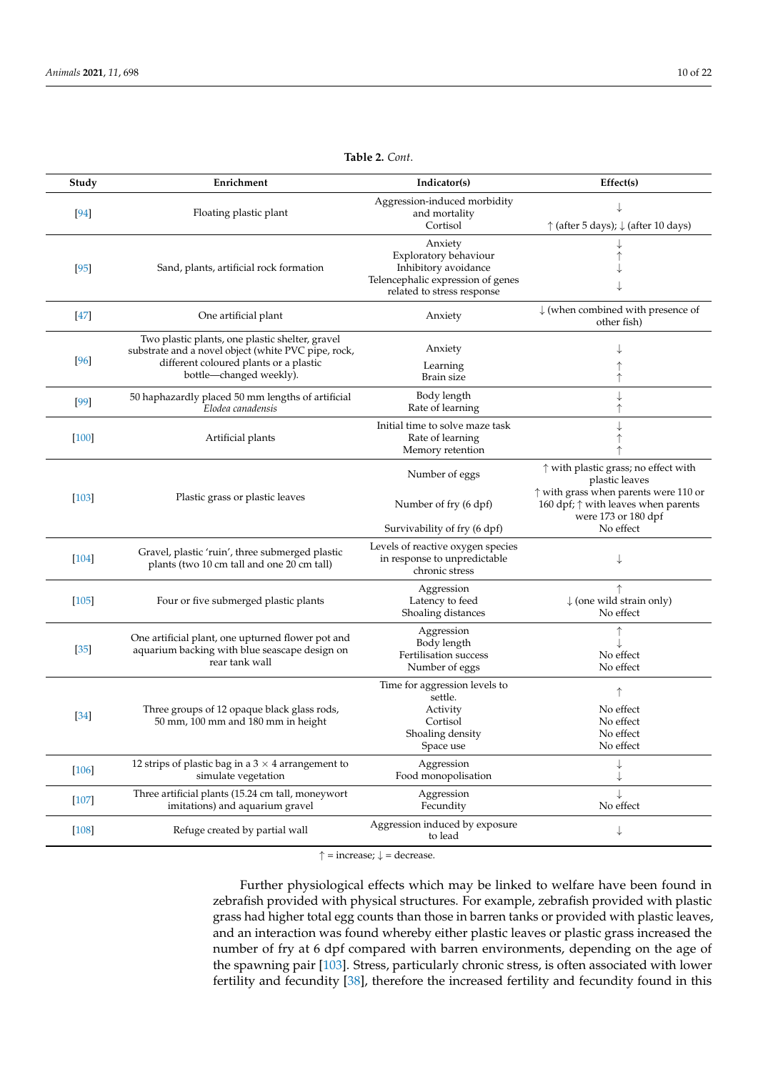<span id="page-9-0"></span>

| Study   | Enrichment                                                                        | Indicator(s)                                                      | Effect(s)                                                       |
|---------|-----------------------------------------------------------------------------------|-------------------------------------------------------------------|-----------------------------------------------------------------|
|         |                                                                                   | Aggression-induced morbidity                                      |                                                                 |
| $[94]$  | Floating plastic plant                                                            | and mortality                                                     |                                                                 |
|         |                                                                                   | Cortisol                                                          | $\uparrow$ (after 5 days); $\downarrow$ (after 10 days)         |
|         |                                                                                   | Anxiety                                                           |                                                                 |
|         |                                                                                   | Exploratory behaviour                                             |                                                                 |
| $[95]$  | Sand, plants, artificial rock formation                                           | Inhibitory avoidance                                              |                                                                 |
|         |                                                                                   | Telencephalic expression of genes<br>related to stress response   |                                                                 |
|         |                                                                                   |                                                                   | $\downarrow$ (when combined with presence of                    |
| $[47]$  | One artificial plant                                                              | Anxiety                                                           | other fish)                                                     |
|         | Two plastic plants, one plastic shelter, gravel                                   |                                                                   |                                                                 |
|         | substrate and a novel object (white PVC pipe, rock,                               | Anxiety                                                           |                                                                 |
| [96]    | different coloured plants or a plastic                                            | Learning                                                          |                                                                 |
|         | bottle-changed weekly).                                                           | <b>Brain</b> size                                                 |                                                                 |
|         | 50 haphazardly placed 50 mm lengths of artificial                                 | Body length                                                       |                                                                 |
| $[99]$  | Elodea canadensis                                                                 | Rate of learning                                                  |                                                                 |
|         |                                                                                   | Initial time to solve maze task                                   |                                                                 |
| $[100]$ | Artificial plants                                                                 | Rate of learning                                                  |                                                                 |
|         |                                                                                   | Memory retention                                                  | ↑                                                               |
|         |                                                                                   | Number of eggs                                                    | $\uparrow$ with plastic grass; no effect with<br>plastic leaves |
| $[103]$ | Plastic grass or plastic leaves                                                   |                                                                   | $\uparrow$ with grass when parents were 110 or                  |
|         |                                                                                   | Number of fry (6 dpf)                                             | 160 dpf; $\uparrow$ with leaves when parents                    |
|         |                                                                                   | Survivability of fry (6 dpf)                                      | were 173 or 180 dpf<br>No effect                                |
|         |                                                                                   |                                                                   |                                                                 |
| $[104]$ | Gravel, plastic 'ruin', three submerged plastic                                   | Levels of reactive oxygen species<br>in response to unpredictable | ↓                                                               |
|         | plants (two 10 cm tall and one 20 cm tall)                                        | chronic stress                                                    |                                                                 |
|         |                                                                                   | Aggression                                                        | $\uparrow$                                                      |
| $[105]$ | Four or five submerged plastic plants                                             | Latency to feed                                                   | $\downarrow$ (one wild strain only)                             |
|         |                                                                                   | Shoaling distances                                                | No effect                                                       |
|         |                                                                                   | Aggression                                                        |                                                                 |
|         | One artificial plant, one upturned flower pot and                                 | Body length                                                       |                                                                 |
| $[35]$  | aquarium backing with blue seascape design on                                     | Fertilisation success                                             | No effect                                                       |
|         | rear tank wall                                                                    | Number of eggs                                                    | No effect                                                       |
|         |                                                                                   | Time for aggression levels to<br>settle.                          | ↑                                                               |
| $[34]$  | Three groups of 12 opaque black glass rods,<br>50 mm, 100 mm and 180 mm in height | Activity                                                          | No effect                                                       |
|         |                                                                                   | Cortisol                                                          | No effect                                                       |
|         |                                                                                   | Shoaling density                                                  | No effect                                                       |
|         |                                                                                   | Space use                                                         | No effect                                                       |
| $[106]$ | 12 strips of plastic bag in a $3 \times 4$ arrangement to                         | Aggression                                                        |                                                                 |
|         | simulate vegetation                                                               | Food monopolisation                                               |                                                                 |
| $[107]$ | Three artificial plants (15.24 cm tall, moneywort                                 | Aggression                                                        | $\downarrow$                                                    |
|         | imitations) and aquarium gravel                                                   | Fecundity                                                         | No effect                                                       |
| $[108]$ | Refuge created by partial wall                                                    | Aggression induced by exposure<br>to lead                         | ↓                                                               |

**Table 2.** *Cont*.

 $\uparrow$  = increase;  $\downarrow$  = decrease.

Further physiological effects which may be linked to welfare have been found in zebrafish provided with physical structures. For example, zebrafish provided with plastic grass had higher total egg counts than those in barren tanks or provided with plastic leaves, and an interaction was found whereby either plastic leaves or plastic grass increased the number of fry at 6 dpf compared with barren environments, depending on the age of the spawning pair [\[103\]](#page-19-23). Stress, particularly chronic stress, is often associated with lower fertility and fecundity [\[38\]](#page-17-19), therefore the increased fertility and fecundity found in this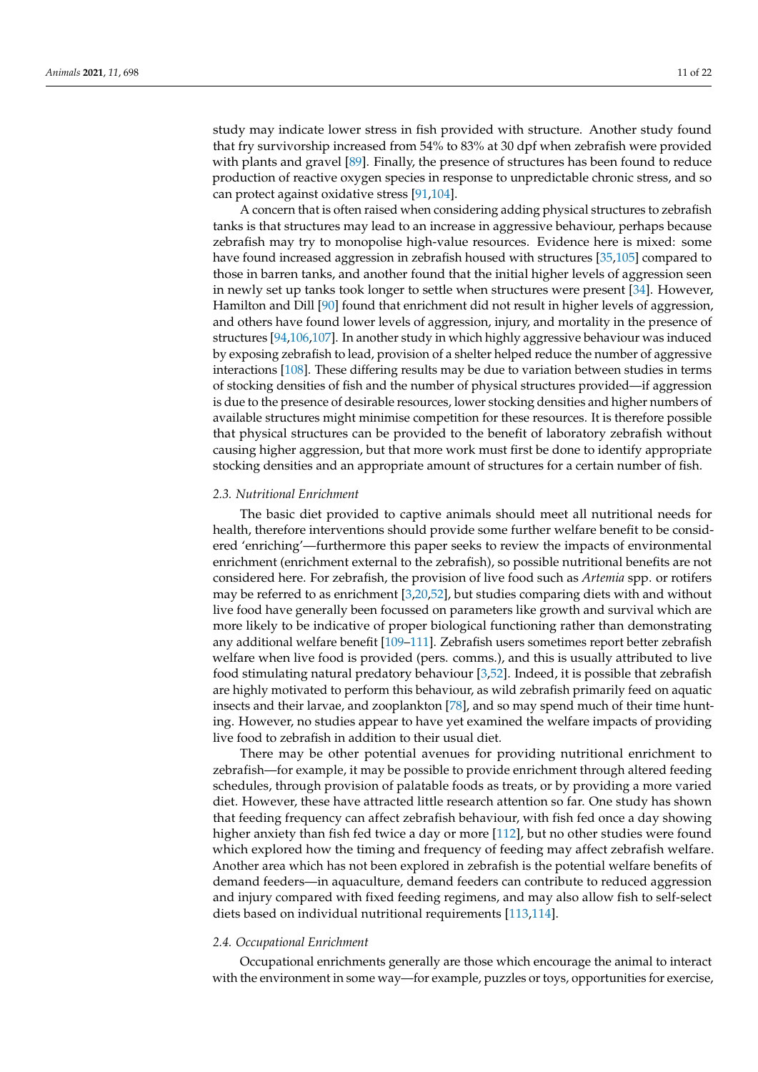study may indicate lower stress in fish provided with structure. Another study found that fry survivorship increased from 54% to 83% at 30 dpf when zebrafish were provided with plants and gravel [\[89\]](#page-19-7). Finally, the presence of structures has been found to reduce production of reactive oxygen species in response to unpredictable chronic stress, and so can protect against oxidative stress [\[91](#page-19-9)[,104\]](#page-19-24).

A concern that is often raised when considering adding physical structures to zebrafish tanks is that structures may lead to an increase in aggressive behaviour, perhaps because zebrafish may try to monopolise high-value resources. Evidence here is mixed: some have found increased aggression in zebrafish housed with structures [\[35](#page-17-16)[,105\]](#page-19-25) compared to those in barren tanks, and another found that the initial higher levels of aggression seen in newly set up tanks took longer to settle when structures were present [\[34\]](#page-17-15). However, Hamilton and Dill [\[90\]](#page-19-8) found that enrichment did not result in higher levels of aggression, and others have found lower levels of aggression, injury, and mortality in the presence of structures [\[94](#page-19-12)[,106](#page-20-0)[,107\]](#page-20-1). In another study in which highly aggressive behaviour was induced by exposing zebrafish to lead, provision of a shelter helped reduce the number of aggressive interactions [\[108\]](#page-20-2). These differing results may be due to variation between studies in terms of stocking densities of fish and the number of physical structures provided—if aggression is due to the presence of desirable resources, lower stocking densities and higher numbers of available structures might minimise competition for these resources. It is therefore possible that physical structures can be provided to the benefit of laboratory zebrafish without causing higher aggression, but that more work must first be done to identify appropriate stocking densities and an appropriate amount of structures for a certain number of fish.

## *2.3. Nutritional Enrichment*

The basic diet provided to captive animals should meet all nutritional needs for health, therefore interventions should provide some further welfare benefit to be considered 'enriching'—furthermore this paper seeks to review the impacts of environmental enrichment (enrichment external to the zebrafish), so possible nutritional benefits are not considered here. For zebrafish, the provision of live food such as *Artemia* spp. or rotifers may be referred to as enrichment [\[3,](#page-16-1)[20,](#page-17-2)[52\]](#page-18-1), but studies comparing diets with and without live food have generally been focussed on parameters like growth and survival which are more likely to be indicative of proper biological functioning rather than demonstrating any additional welfare benefit [\[109](#page-20-3)[–111\]](#page-20-4). Zebrafish users sometimes report better zebrafish welfare when live food is provided (pers. comms.), and this is usually attributed to live food stimulating natural predatory behaviour [\[3](#page-16-1)[,52\]](#page-18-1). Indeed, it is possible that zebrafish are highly motivated to perform this behaviour, as wild zebrafish primarily feed on aquatic insects and their larvae, and zooplankton [\[78\]](#page-19-26), and so may spend much of their time hunting. However, no studies appear to have yet examined the welfare impacts of providing live food to zebrafish in addition to their usual diet.

There may be other potential avenues for providing nutritional enrichment to zebrafish—for example, it may be possible to provide enrichment through altered feeding schedules, through provision of palatable foods as treats, or by providing a more varied diet. However, these have attracted little research attention so far. One study has shown that feeding frequency can affect zebrafish behaviour, with fish fed once a day showing higher anxiety than fish fed twice a day or more [\[112\]](#page-20-5), but no other studies were found which explored how the timing and frequency of feeding may affect zebrafish welfare. Another area which has not been explored in zebrafish is the potential welfare benefits of demand feeders—in aquaculture, demand feeders can contribute to reduced aggression and injury compared with fixed feeding regimens, and may also allow fish to self-select diets based on individual nutritional requirements [\[113](#page-20-6)[,114\]](#page-20-7).

#### *2.4. Occupational Enrichment*

Occupational enrichments generally are those which encourage the animal to interact with the environment in some way—for example, puzzles or toys, opportunities for exercise,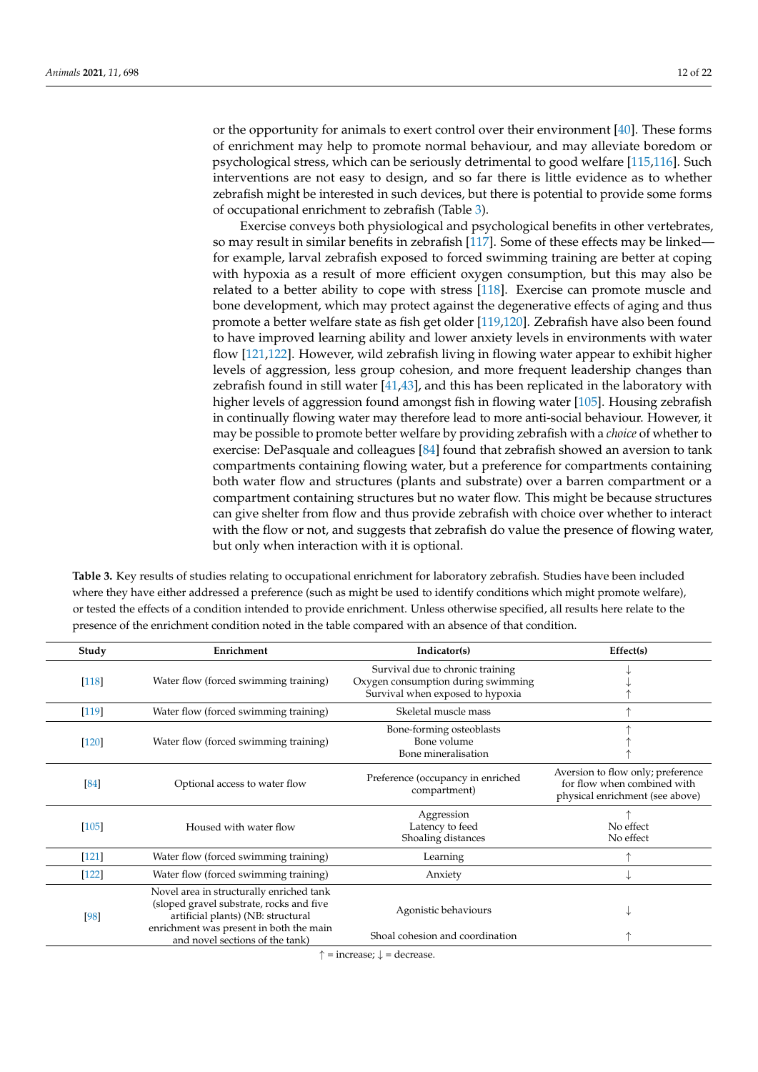or the opportunity for animals to exert control over their environment [\[40\]](#page-17-21). These forms of enrichment may help to promote normal behaviour, and may alleviate boredom or psychological stress, which can be seriously detrimental to good welfare [\[115](#page-20-8)[,116\]](#page-20-9). Such interventions are not easy to design, and so far there is little evidence as to whether zebrafish might be interested in such devices, but there is potential to provide some forms of occupational enrichment to zebrafish (Table [3\)](#page-11-0).

Exercise conveys both physiological and psychological benefits in other vertebrates, so may result in similar benefits in zebrafish [\[117\]](#page-20-10). Some of these effects may be linked for example, larval zebrafish exposed to forced swimming training are better at coping with hypoxia as a result of more efficient oxygen consumption, but this may also be related to a better ability to cope with stress [\[118\]](#page-20-11). Exercise can promote muscle and bone development, which may protect against the degenerative effects of aging and thus promote a better welfare state as fish get older [\[119,](#page-20-12)[120\]](#page-20-13). Zebrafish have also been found to have improved learning ability and lower anxiety levels in environments with water flow [\[121,](#page-20-14)[122\]](#page-20-15). However, wild zebrafish living in flowing water appear to exhibit higher levels of aggression, less group cohesion, and more frequent leadership changes than zebrafish found in still water [\[41,](#page-17-22)[43\]](#page-17-23), and this has been replicated in the laboratory with higher levels of aggression found amongst fish in flowing water [\[105\]](#page-19-25). Housing zebrafish in continually flowing water may therefore lead to more anti-social behaviour. However, it may be possible to promote better welfare by providing zebrafish with a *choice* of whether to exercise: DePasquale and colleagues [\[84\]](#page-19-22) found that zebrafish showed an aversion to tank compartments containing flowing water, but a preference for compartments containing both water flow and structures (plants and substrate) over a barren compartment or a compartment containing structures but no water flow. This might be because structures can give shelter from flow and thus provide zebrafish with choice over whether to interact with the flow or not, and suggests that zebrafish do value the presence of flowing water, but only when interaction with it is optional.

<span id="page-11-0"></span>**Table 3.** Key results of studies relating to occupational enrichment for laboratory zebrafish. Studies have been included where they have either addressed a preference (such as might be used to identify conditions which might promote welfare), or tested the effects of a condition intended to provide enrichment. Unless otherwise specified, all results here relate to the presence of the enrichment condition noted in the table compared with an absence of that condition.

| Study   | Enrichment                                                                                                                                                                                               | Indicator(s)                                                                                               | Effect(s)                                                                                           |
|---------|----------------------------------------------------------------------------------------------------------------------------------------------------------------------------------------------------------|------------------------------------------------------------------------------------------------------------|-----------------------------------------------------------------------------------------------------|
| $[118]$ | Water flow (forced swimming training)                                                                                                                                                                    | Survival due to chronic training<br>Oxygen consumption during swimming<br>Survival when exposed to hypoxia |                                                                                                     |
| $[119]$ | Water flow (forced swimming training)                                                                                                                                                                    | Skeletal muscle mass                                                                                       | 木                                                                                                   |
| $[120]$ | Water flow (forced swimming training)                                                                                                                                                                    | Bone-forming osteoblasts<br>Bone volume<br>Bone mineralisation                                             |                                                                                                     |
| [84]    | Optional access to water flow                                                                                                                                                                            | Preference (occupancy in enriched<br>compartment)                                                          | Aversion to flow only; preference<br>for flow when combined with<br>physical enrichment (see above) |
| $[105]$ | Housed with water flow                                                                                                                                                                                   | Aggression<br>Latency to feed<br>Shoaling distances                                                        | No effect<br>No effect                                                                              |
| $[121]$ | Water flow (forced swimming training)                                                                                                                                                                    | Learning                                                                                                   |                                                                                                     |
| $[122]$ | Water flow (forced swimming training)                                                                                                                                                                    | Anxiety                                                                                                    | ↓                                                                                                   |
| [98]    | Novel area in structurally enriched tank<br>(sloped gravel substrate, rocks and five<br>artificial plants) (NB: structural<br>enrichment was present in both the main<br>and novel sections of the tank) | Agonistic behaviours<br>Shoal cohesion and coordination                                                    | V                                                                                                   |

 $\uparrow$  = increase;  $\downarrow$  = decrease.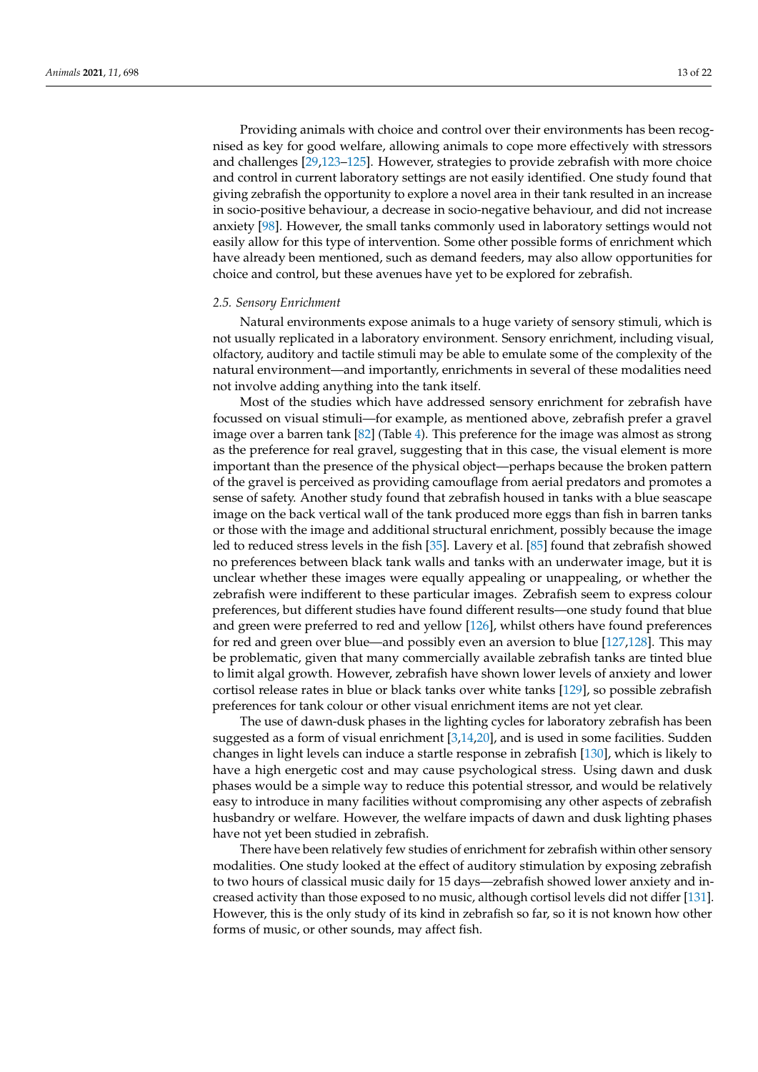Providing animals with choice and control over their environments has been recognised as key for good welfare, allowing animals to cope more effectively with stressors and challenges [\[29,](#page-17-10)[123–](#page-20-16)[125\]](#page-20-17). However, strategies to provide zebrafish with more choice and control in current laboratory settings are not easily identified. One study found that giving zebrafish the opportunity to explore a novel area in their tank resulted in an increase in socio-positive behaviour, a decrease in socio-negative behaviour, and did not increase anxiety [\[98\]](#page-19-16). However, the small tanks commonly used in laboratory settings would not easily allow for this type of intervention. Some other possible forms of enrichment which have already been mentioned, such as demand feeders, may also allow opportunities for choice and control, but these avenues have yet to be explored for zebrafish.

#### *2.5. Sensory Enrichment*

Natural environments expose animals to a huge variety of sensory stimuli, which is not usually replicated in a laboratory environment. Sensory enrichment, including visual, olfactory, auditory and tactile stimuli may be able to emulate some of the complexity of the natural environment—and importantly, enrichments in several of these modalities need not involve adding anything into the tank itself.

Most of the studies which have addressed sensory enrichment for zebrafish have focussed on visual stimuli—for example, as mentioned above, zebrafish prefer a gravel image over a barren tank [\[82\]](#page-19-2) (Table [4\)](#page-13-0). This preference for the image was almost as strong as the preference for real gravel, suggesting that in this case, the visual element is more important than the presence of the physical object—perhaps because the broken pattern of the gravel is perceived as providing camouflage from aerial predators and promotes a sense of safety. Another study found that zebrafish housed in tanks with a blue seascape image on the back vertical wall of the tank produced more eggs than fish in barren tanks or those with the image and additional structural enrichment, possibly because the image led to reduced stress levels in the fish [\[35\]](#page-17-16). Lavery et al. [\[85\]](#page-19-5) found that zebrafish showed no preferences between black tank walls and tanks with an underwater image, but it is unclear whether these images were equally appealing or unappealing, or whether the zebrafish were indifferent to these particular images. Zebrafish seem to express colour preferences, but different studies have found different results—one study found that blue and green were preferred to red and yellow [\[126\]](#page-20-18), whilst others have found preferences for red and green over blue—and possibly even an aversion to blue [\[127,](#page-20-19)[128\]](#page-20-20). This may be problematic, given that many commercially available zebrafish tanks are tinted blue to limit algal growth. However, zebrafish have shown lower levels of anxiety and lower cortisol release rates in blue or black tanks over white tanks [\[129\]](#page-20-21), so possible zebrafish preferences for tank colour or other visual enrichment items are not yet clear.

The use of dawn-dusk phases in the lighting cycles for laboratory zebrafish has been suggested as a form of visual enrichment [\[3,](#page-16-1)[14,](#page-16-9)[20\]](#page-17-2), and is used in some facilities. Sudden changes in light levels can induce a startle response in zebrafish [\[130\]](#page-20-22), which is likely to have a high energetic cost and may cause psychological stress. Using dawn and dusk phases would be a simple way to reduce this potential stressor, and would be relatively easy to introduce in many facilities without compromising any other aspects of zebrafish husbandry or welfare. However, the welfare impacts of dawn and dusk lighting phases have not yet been studied in zebrafish.

There have been relatively few studies of enrichment for zebrafish within other sensory modalities. One study looked at the effect of auditory stimulation by exposing zebrafish to two hours of classical music daily for 15 days—zebrafish showed lower anxiety and increased activity than those exposed to no music, although cortisol levels did not differ [\[131\]](#page-20-23). However, this is the only study of its kind in zebrafish so far, so it is not known how other forms of music, or other sounds, may affect fish.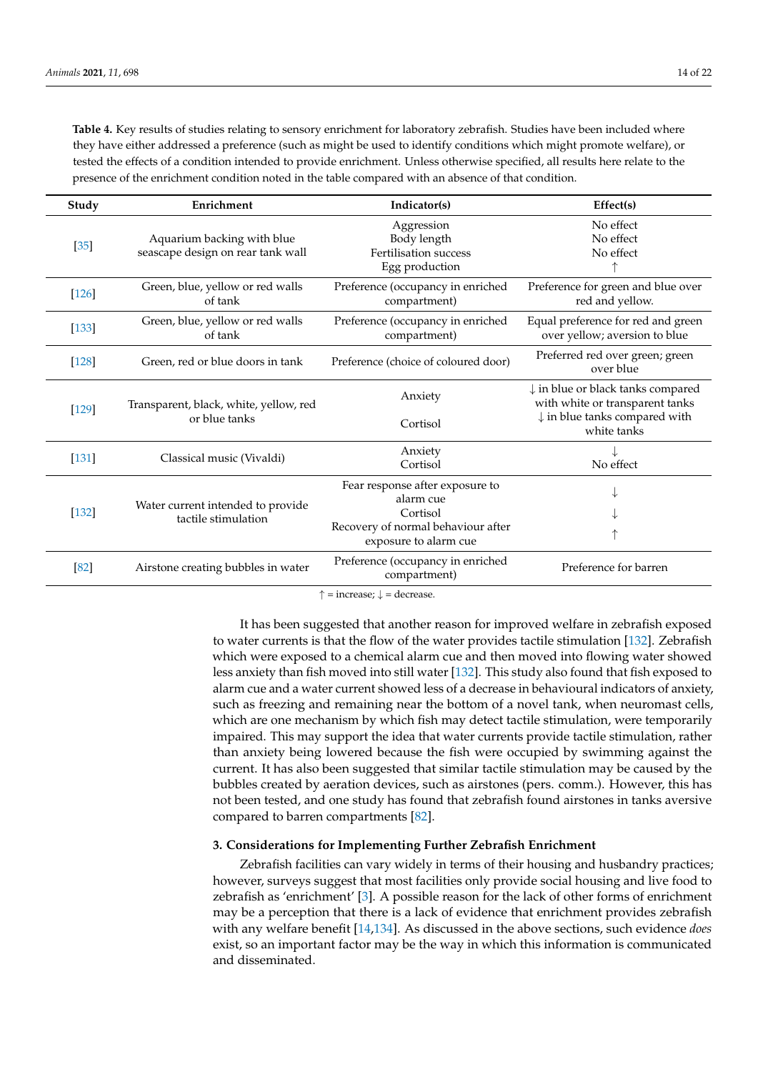<span id="page-13-0"></span>**Table 4.** Key results of studies relating to sensory enrichment for laboratory zebrafish. Studies have been included where they have either addressed a preference (such as might be used to identify conditions which might promote welfare), or tested the effects of a condition intended to provide enrichment. Unless otherwise specified, all results here relate to the presence of the enrichment condition noted in the table compared with an absence of that condition.

| Study   | Enrichment                                                      | Indicator(s)                                                                                                            | Effect(s)                                                                                                                                  |
|---------|-----------------------------------------------------------------|-------------------------------------------------------------------------------------------------------------------------|--------------------------------------------------------------------------------------------------------------------------------------------|
| $[35]$  | Aquarium backing with blue<br>seascape design on rear tank wall | Aggression<br>Body length<br>Fertilisation success<br>Egg production                                                    | No effect<br>No effect<br>No effect                                                                                                        |
| $[126]$ | Green, blue, yellow or red walls<br>of tank                     | Preference (occupancy in enriched<br>compartment)                                                                       | Preference for green and blue over<br>red and yellow.                                                                                      |
| $[133]$ | Green, blue, yellow or red walls<br>of tank                     | Preference (occupancy in enriched<br>compartment)                                                                       | Equal preference for red and green<br>over yellow; aversion to blue                                                                        |
| $[128]$ | Green, red or blue doors in tank                                | Preference (choice of coloured door)                                                                                    | Preferred red over green; green<br>over blue                                                                                               |
| $[129]$ | Transparent, black, white, yellow, red<br>or blue tanks         | Anxiety<br>Cortisol                                                                                                     | $\downarrow$ in blue or black tanks compared<br>with white or transparent tanks<br>$\downarrow$ in blue tanks compared with<br>white tanks |
| $[131]$ | Classical music (Vivaldi)                                       | Anxiety<br>Cortisol                                                                                                     | No effect                                                                                                                                  |
| $[132]$ | Water current intended to provide<br>tactile stimulation        | Fear response after exposure to<br>alarm cue<br>Cortisol<br>Recovery of normal behaviour after<br>exposure to alarm cue | ↑                                                                                                                                          |
| [82]    | Airstone creating bubbles in water                              | Preference (occupancy in enriched<br>compartment)                                                                       | Preference for barren                                                                                                                      |

 $\uparrow$  = increase;  $\downarrow$  = decrease.

It has been suggested that another reason for improved welfare in zebrafish exposed to water currents is that the flow of the water provides tactile stimulation [\[132\]](#page-20-25). Zebrafish which were exposed to a chemical alarm cue and then moved into flowing water showed less anxiety than fish moved into still water [\[132\]](#page-20-25). This study also found that fish exposed to alarm cue and a water current showed less of a decrease in behavioural indicators of anxiety, such as freezing and remaining near the bottom of a novel tank, when neuromast cells, which are one mechanism by which fish may detect tactile stimulation, were temporarily impaired. This may support the idea that water currents provide tactile stimulation, rather than anxiety being lowered because the fish were occupied by swimming against the current. It has also been suggested that similar tactile stimulation may be caused by the bubbles created by aeration devices, such as airstones (pers. comm.). However, this has not been tested, and one study has found that zebrafish found airstones in tanks aversive compared to barren compartments [\[82\]](#page-19-2).

## **3. Considerations for Implementing Further Zebrafish Enrichment**

Zebrafish facilities can vary widely in terms of their housing and husbandry practices; however, surveys suggest that most facilities only provide social housing and live food to zebrafish as 'enrichment' [\[3\]](#page-16-1). A possible reason for the lack of other forms of enrichment may be a perception that there is a lack of evidence that enrichment provides zebrafish with any welfare benefit [\[14](#page-16-9)[,134\]](#page-20-26). As discussed in the above sections, such evidence *does* exist, so an important factor may be the way in which this information is communicated and disseminated.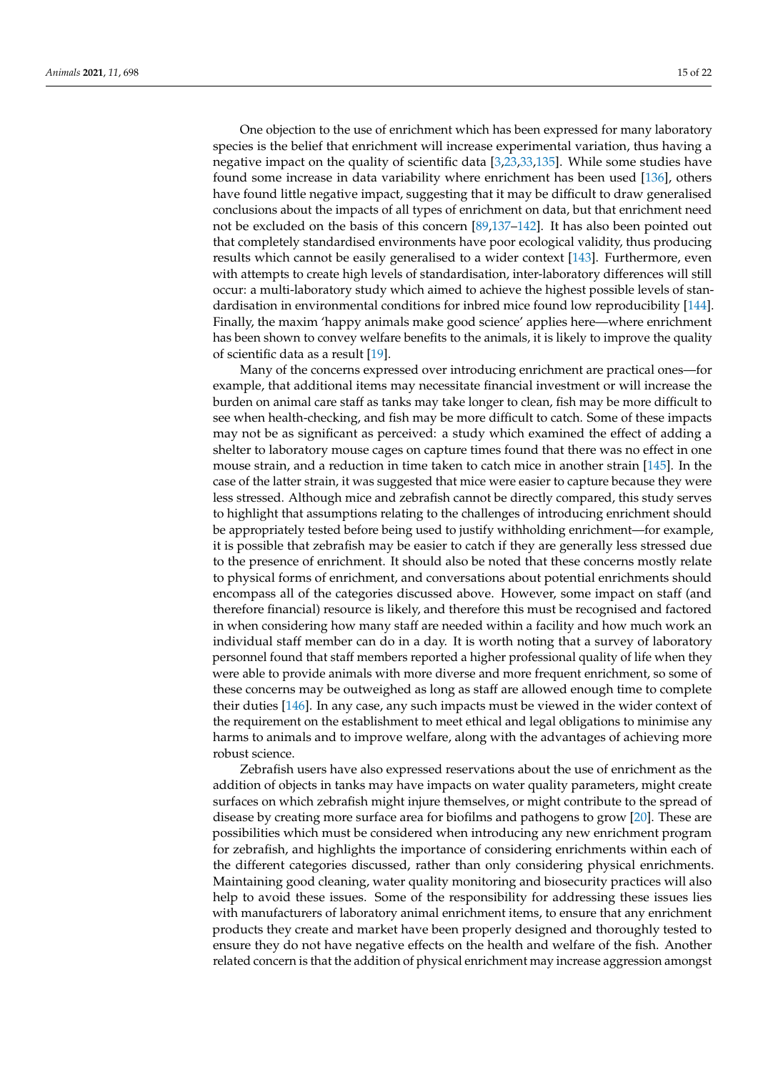One objection to the use of enrichment which has been expressed for many laboratory species is the belief that enrichment will increase experimental variation, thus having a negative impact on the quality of scientific data [\[3,](#page-16-1)[23,](#page-17-5)[33,](#page-17-14)[135\]](#page-20-27). While some studies have found some increase in data variability where enrichment has been used [\[136\]](#page-21-0), others have found little negative impact, suggesting that it may be difficult to draw generalised conclusions about the impacts of all types of enrichment on data, but that enrichment need not be excluded on the basis of this concern [\[89](#page-19-7)[,137](#page-21-1)[–142\]](#page-21-2). It has also been pointed out that completely standardised environments have poor ecological validity, thus producing results which cannot be easily generalised to a wider context [\[143\]](#page-21-3). Furthermore, even with attempts to create high levels of standardisation, inter-laboratory differences will still occur: a multi-laboratory study which aimed to achieve the highest possible levels of standardisation in environmental conditions for inbred mice found low reproducibility [\[144\]](#page-21-4). Finally, the maxim 'happy animals make good science' applies here—where enrichment has been shown to convey welfare benefits to the animals, it is likely to improve the quality of scientific data as a result [\[19\]](#page-17-1).

Many of the concerns expressed over introducing enrichment are practical ones—for example, that additional items may necessitate financial investment or will increase the burden on animal care staff as tanks may take longer to clean, fish may be more difficult to see when health-checking, and fish may be more difficult to catch. Some of these impacts may not be as significant as perceived: a study which examined the effect of adding a shelter to laboratory mouse cages on capture times found that there was no effect in one mouse strain, and a reduction in time taken to catch mice in another strain [\[145\]](#page-21-5). In the case of the latter strain, it was suggested that mice were easier to capture because they were less stressed. Although mice and zebrafish cannot be directly compared, this study serves to highlight that assumptions relating to the challenges of introducing enrichment should be appropriately tested before being used to justify withholding enrichment—for example, it is possible that zebrafish may be easier to catch if they are generally less stressed due to the presence of enrichment. It should also be noted that these concerns mostly relate to physical forms of enrichment, and conversations about potential enrichments should encompass all of the categories discussed above. However, some impact on staff (and therefore financial) resource is likely, and therefore this must be recognised and factored in when considering how many staff are needed within a facility and how much work an individual staff member can do in a day. It is worth noting that a survey of laboratory personnel found that staff members reported a higher professional quality of life when they were able to provide animals with more diverse and more frequent enrichment, so some of these concerns may be outweighed as long as staff are allowed enough time to complete their duties [\[146\]](#page-21-6). In any case, any such impacts must be viewed in the wider context of the requirement on the establishment to meet ethical and legal obligations to minimise any harms to animals and to improve welfare, along with the advantages of achieving more robust science.

Zebrafish users have also expressed reservations about the use of enrichment as the addition of objects in tanks may have impacts on water quality parameters, might create surfaces on which zebrafish might injure themselves, or might contribute to the spread of disease by creating more surface area for biofilms and pathogens to grow [\[20\]](#page-17-2). These are possibilities which must be considered when introducing any new enrichment program for zebrafish, and highlights the importance of considering enrichments within each of the different categories discussed, rather than only considering physical enrichments. Maintaining good cleaning, water quality monitoring and biosecurity practices will also help to avoid these issues. Some of the responsibility for addressing these issues lies with manufacturers of laboratory animal enrichment items, to ensure that any enrichment products they create and market have been properly designed and thoroughly tested to ensure they do not have negative effects on the health and welfare of the fish. Another related concern is that the addition of physical enrichment may increase aggression amongst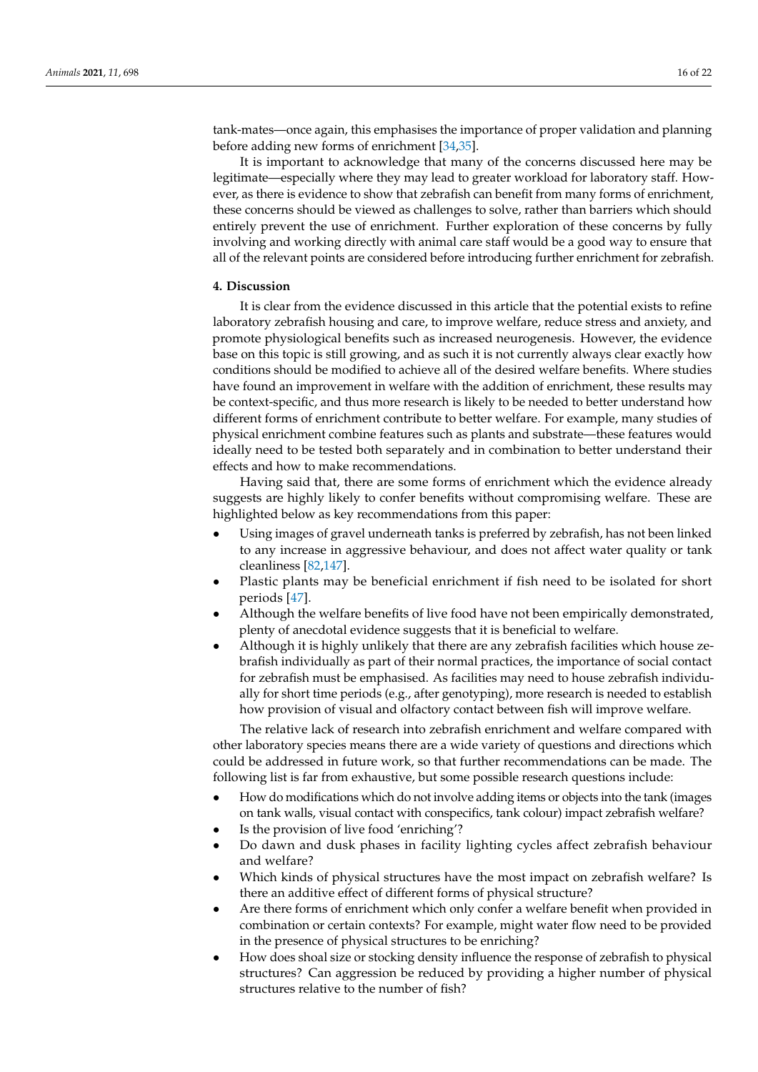tank-mates—once again, this emphasises the importance of proper validation and planning before adding new forms of enrichment [\[34,](#page-17-15)[35\]](#page-17-16).

It is important to acknowledge that many of the concerns discussed here may be legitimate—especially where they may lead to greater workload for laboratory staff. However, as there is evidence to show that zebrafish can benefit from many forms of enrichment, these concerns should be viewed as challenges to solve, rather than barriers which should entirely prevent the use of enrichment. Further exploration of these concerns by fully involving and working directly with animal care staff would be a good way to ensure that all of the relevant points are considered before introducing further enrichment for zebrafish.

## **4. Discussion**

It is clear from the evidence discussed in this article that the potential exists to refine laboratory zebrafish housing and care, to improve welfare, reduce stress and anxiety, and promote physiological benefits such as increased neurogenesis. However, the evidence base on this topic is still growing, and as such it is not currently always clear exactly how conditions should be modified to achieve all of the desired welfare benefits. Where studies have found an improvement in welfare with the addition of enrichment, these results may be context-specific, and thus more research is likely to be needed to better understand how different forms of enrichment contribute to better welfare. For example, many studies of physical enrichment combine features such as plants and substrate—these features would ideally need to be tested both separately and in combination to better understand their effects and how to make recommendations.

Having said that, there are some forms of enrichment which the evidence already suggests are highly likely to confer benefits without compromising welfare. These are highlighted below as key recommendations from this paper:

- Using images of gravel underneath tanks is preferred by zebrafish, has not been linked to any increase in aggressive behaviour, and does not affect water quality or tank cleanliness [\[82](#page-19-2)[,147\]](#page-21-7).
- Plastic plants may be beneficial enrichment if fish need to be isolated for short periods [\[47\]](#page-17-30).
- Although the welfare benefits of live food have not been empirically demonstrated, plenty of anecdotal evidence suggests that it is beneficial to welfare.
- Although it is highly unlikely that there are any zebrafish facilities which house zebrafish individually as part of their normal practices, the importance of social contact for zebrafish must be emphasised. As facilities may need to house zebrafish individually for short time periods (e.g., after genotyping), more research is needed to establish how provision of visual and olfactory contact between fish will improve welfare.

The relative lack of research into zebrafish enrichment and welfare compared with other laboratory species means there are a wide variety of questions and directions which could be addressed in future work, so that further recommendations can be made. The following list is far from exhaustive, but some possible research questions include:

- How do modifications which do not involve adding items or objects into the tank (images on tank walls, visual contact with conspecifics, tank colour) impact zebrafish welfare?
- Is the provision of live food 'enriching'?
- Do dawn and dusk phases in facility lighting cycles affect zebrafish behaviour and welfare?
- Which kinds of physical structures have the most impact on zebrafish welfare? Is there an additive effect of different forms of physical structure?
- Are there forms of enrichment which only confer a welfare benefit when provided in combination or certain contexts? For example, might water flow need to be provided in the presence of physical structures to be enriching?
- How does shoal size or stocking density influence the response of zebrafish to physical structures? Can aggression be reduced by providing a higher number of physical structures relative to the number of fish?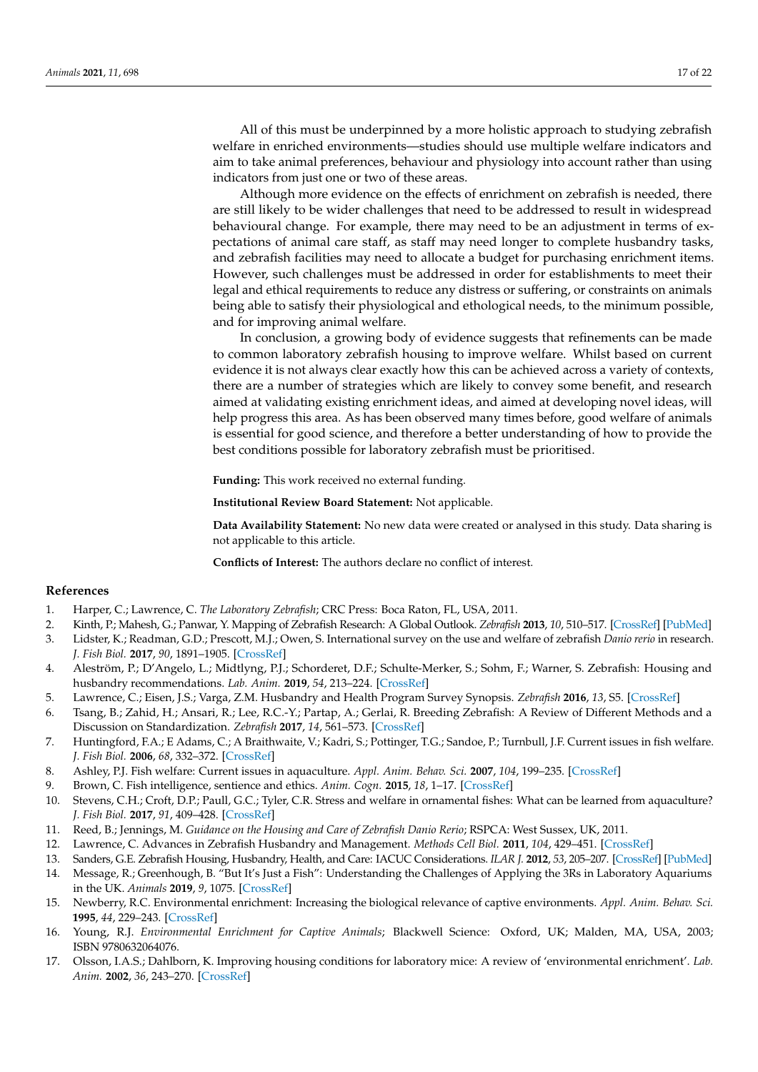All of this must be underpinned by a more holistic approach to studying zebrafish welfare in enriched environments—studies should use multiple welfare indicators and aim to take animal preferences, behaviour and physiology into account rather than using indicators from just one or two of these areas.

Although more evidence on the effects of enrichment on zebrafish is needed, there are still likely to be wider challenges that need to be addressed to result in widespread behavioural change. For example, there may need to be an adjustment in terms of expectations of animal care staff, as staff may need longer to complete husbandry tasks, and zebrafish facilities may need to allocate a budget for purchasing enrichment items. However, such challenges must be addressed in order for establishments to meet their legal and ethical requirements to reduce any distress or suffering, or constraints on animals being able to satisfy their physiological and ethological needs, to the minimum possible, and for improving animal welfare.

In conclusion, a growing body of evidence suggests that refinements can be made to common laboratory zebrafish housing to improve welfare. Whilst based on current evidence it is not always clear exactly how this can be achieved across a variety of contexts, there are a number of strategies which are likely to convey some benefit, and research aimed at validating existing enrichment ideas, and aimed at developing novel ideas, will help progress this area. As has been observed many times before, good welfare of animals is essential for good science, and therefore a better understanding of how to provide the best conditions possible for laboratory zebrafish must be prioritised.

**Funding:** This work received no external funding.

**Institutional Review Board Statement:** Not applicable.

**Data Availability Statement:** No new data were created or analysed in this study. Data sharing is not applicable to this article.

**Conflicts of Interest:** The authors declare no conflict of interest.

## **References**

- <span id="page-16-0"></span>1. Harper, C.; Lawrence, C. *The Laboratory Zebrafish*; CRC Press: Boca Raton, FL, USA, 2011.
- 2. Kinth, P.; Mahesh, G.; Panwar, Y. Mapping of Zebrafish Research: A Global Outlook. *Zebrafish* **2013**, *10*, 510–517. [\[CrossRef\]](http://doi.org/10.1089/zeb.2012.0854) [\[PubMed\]](http://www.ncbi.nlm.nih.gov/pubmed/24131434)
- <span id="page-16-1"></span>3. Lidster, K.; Readman, G.D.; Prescott, M.J.; Owen, S. International survey on the use and welfare of zebrafish *Danio rerio* in research. *J. Fish Biol.* **2017**, *90*, 1891–1905. [\[CrossRef\]](http://doi.org/10.1111/jfb.13278)
- <span id="page-16-2"></span>4. Aleström, P.; D'Angelo, L.; Midtlyng, P.J.; Schorderet, D.F.; Schulte-Merker, S.; Sohm, F.; Warner, S. Zebrafish: Housing and husbandry recommendations. *Lab. Anim.* **2019**, *54*, 213–224. [\[CrossRef\]](http://doi.org/10.1177/0023677219869037)
- <span id="page-16-3"></span>5. Lawrence, C.; Eisen, J.S.; Varga, Z.M. Husbandry and Health Program Survey Synopsis. *Zebrafish* **2016**, *13*, S5. [\[CrossRef\]](http://doi.org/10.1089/zeb.2016.1309)
- <span id="page-16-4"></span>6. Tsang, B.; Zahid, H.; Ansari, R.; Lee, R.C.-Y.; Partap, A.; Gerlai, R. Breeding Zebrafish: A Review of Different Methods and a Discussion on Standardization. *Zebrafish* **2017**, *14*, 561–573. [\[CrossRef\]](http://doi.org/10.1089/zeb.2017.1477)
- <span id="page-16-5"></span>7. Huntingford, F.A.; E Adams, C.; A Braithwaite, V.; Kadri, S.; Pottinger, T.G.; Sandoe, P.; Turnbull, J.F. Current issues in fish welfare. *J. Fish Biol.* **2006**, *68*, 332–372. [\[CrossRef\]](http://doi.org/10.1111/j.0022-1112.2006.001046.x)
- <span id="page-16-14"></span>8. Ashley, P.J. Fish welfare: Current issues in aquaculture. *Appl. Anim. Behav. Sci.* **2007**, *104*, 199–235. [\[CrossRef\]](http://doi.org/10.1016/j.applanim.2006.09.001)
- <span id="page-16-13"></span>9. Brown, C. Fish intelligence, sentience and ethics. *Anim. Cogn.* **2015**, *18*, 1–17. [\[CrossRef\]](http://doi.org/10.1007/s10071-014-0761-0)
- <span id="page-16-6"></span>10. Stevens, C.H.; Croft, D.P.; Paull, G.C.; Tyler, C.R. Stress and welfare in ornamental fishes: What can be learned from aquaculture? *J. Fish Biol.* **2017**, *91*, 409–428. [\[CrossRef\]](http://doi.org/10.1111/jfb.13377)
- <span id="page-16-7"></span>11. Reed, B.; Jennings, M. *Guidance on the Housing and Care of Zebrafish Danio Rerio*; RSPCA: West Sussex, UK, 2011.
- 12. Lawrence, C. Advances in Zebrafish Husbandry and Management. *Methods Cell Biol.* **2011**, *104*, 429–451. [\[CrossRef\]](http://doi.org/10.1016/b978-0-12-374814-0.00023-9)
- <span id="page-16-8"></span>13. Sanders, G.E. Zebrafish Housing, Husbandry, Health, and Care: IACUC Considerations. *ILAR J.* **2012**, *53*, 205–207. [\[CrossRef\]](http://doi.org/10.1093/ilar.53.2.205) [\[PubMed\]](http://www.ncbi.nlm.nih.gov/pubmed/23382351)
- <span id="page-16-9"></span>14. Message, R.; Greenhough, B. "But It's Just a Fish": Understanding the Challenges of Applying the 3Rs in Laboratory Aquariums in the UK. *Animals* **2019**, *9*, 1075. [\[CrossRef\]](http://doi.org/10.3390/ani9121075)
- <span id="page-16-10"></span>15. Newberry, R.C. Environmental enrichment: Increasing the biological relevance of captive environments. *Appl. Anim. Behav. Sci.* **1995**, *44*, 229–243. [\[CrossRef\]](http://doi.org/10.1016/0168-1591(95)00616-Z)
- <span id="page-16-11"></span>16. Young, R.J. *Environmental Enrichment for Captive Animals*; Blackwell Science: Oxford, UK; Malden, MA, USA, 2003; ISBN 9780632064076.
- <span id="page-16-12"></span>17. Olsson, I.A.S.; Dahlborn, K. Improving housing conditions for laboratory mice: A review of 'environmental enrichment'. *Lab. Anim.* **2002**, *36*, 243–270. [\[CrossRef\]](http://doi.org/10.1258/002367702320162379)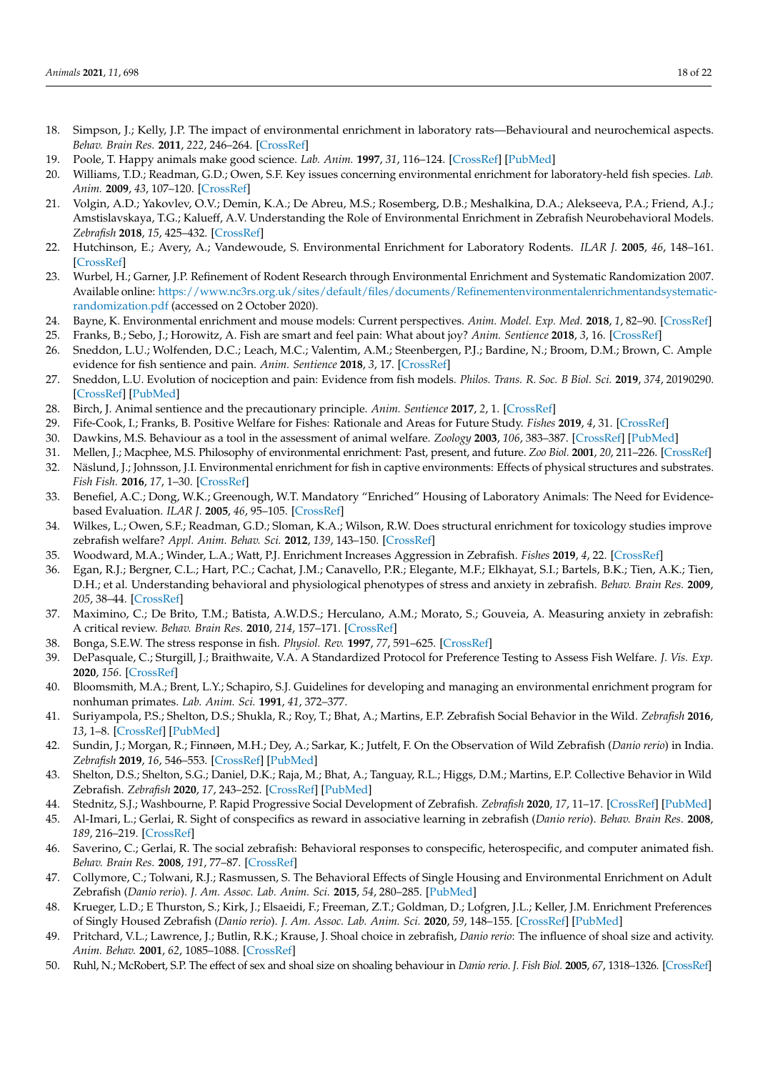- <span id="page-17-0"></span>18. Simpson, J.; Kelly, J.P. The impact of environmental enrichment in laboratory rats—Behavioural and neurochemical aspects. *Behav. Brain Res.* **2011**, *222*, 246–264. [\[CrossRef\]](http://doi.org/10.1016/j.bbr.2011.04.002)
- <span id="page-17-1"></span>19. Poole, T. Happy animals make good science. *Lab. Anim.* **1997**, *31*, 116–124. [\[CrossRef\]](http://doi.org/10.1258/002367797780600198) [\[PubMed\]](http://www.ncbi.nlm.nih.gov/pubmed/9175008)
- <span id="page-17-2"></span>20. Williams, T.D.; Readman, G.D.; Owen, S.F. Key issues concerning environmental enrichment for laboratory-held fish species. *Lab. Anim.* **2009**, *43*, 107–120. [\[CrossRef\]](http://doi.org/10.1258/la.2007.007023)
- <span id="page-17-3"></span>21. Volgin, A.D.; Yakovlev, O.V.; Demin, K.A.; De Abreu, M.S.; Rosemberg, D.B.; Meshalkina, D.A.; Alekseeva, P.A.; Friend, A.J.; Amstislavskaya, T.G.; Kalueff, A.V. Understanding the Role of Environmental Enrichment in Zebrafish Neurobehavioral Models. *Zebrafish* **2018**, *15*, 425–432. [\[CrossRef\]](http://doi.org/10.1089/zeb.2018.1592)
- <span id="page-17-4"></span>22. Hutchinson, E.; Avery, A.; Vandewoude, S. Environmental Enrichment for Laboratory Rodents. *ILAR J.* **2005**, *46*, 148–161. [\[CrossRef\]](http://doi.org/10.1093/ilar.46.2.148)
- <span id="page-17-5"></span>23. Wurbel, H.; Garner, J.P. Refinement of Rodent Research through Environmental Enrichment and Systematic Randomization 2007. Available online: [https://www.nc3rs.org.uk/sites/default/files/documents/Refinementenvironmentalenrichmentandsystematic](https://www.nc3rs.org.uk/sites/default/files/documents/Refinementenvironmentalenrichmentandsystematic-randomization.pdf)[randomization.pdf](https://www.nc3rs.org.uk/sites/default/files/documents/Refinementenvironmentalenrichmentandsystematic-randomization.pdf) (accessed on 2 October 2020).
- <span id="page-17-6"></span>24. Bayne, K. Environmental enrichment and mouse models: Current perspectives. *Anim. Model. Exp. Med.* **2018**, *1*, 82–90. [\[CrossRef\]](http://doi.org/10.1002/ame2.12015)
- <span id="page-17-7"></span>25. Franks, B.; Sebo, J.; Horowitz, A. Fish are smart and feel pain: What about joy? *Anim. Sentience* **2018**, *3*, 16. [\[CrossRef\]](http://doi.org/10.51291/2377-7478.1368)
- 26. Sneddon, L.U.; Wolfenden, D.C.; Leach, M.C.; Valentim, A.M.; Steenbergen, P.J.; Bardine, N.; Broom, D.M.; Brown, C. Ample evidence for fish sentience and pain. *Anim. Sentience* **2018**, *3*, 17. [\[CrossRef\]](http://doi.org/10.51291/2377-7478.1375)
- <span id="page-17-8"></span>27. Sneddon, L.U. Evolution of nociception and pain: Evidence from fish models. *Philos. Trans. R. Soc. B Biol. Sci.* **2019**, *374*, 20190290. [\[CrossRef\]](http://doi.org/10.1098/rstb.2019.0290) [\[PubMed\]](http://www.ncbi.nlm.nih.gov/pubmed/31544617)
- <span id="page-17-9"></span>28. Birch, J. Animal sentience and the precautionary principle. *Anim. Sentience* **2017**, *2*, 1. [\[CrossRef\]](http://doi.org/10.51291/2377-7478.1200)
- <span id="page-17-10"></span>29. Fife-Cook, I.; Franks, B. Positive Welfare for Fishes: Rationale and Areas for Future Study. *Fishes* **2019**, *4*, 31. [\[CrossRef\]](http://doi.org/10.3390/fishes4020031)
- <span id="page-17-11"></span>30. Dawkins, M.S. Behaviour as a tool in the assessment of animal welfare. *Zoology* **2003**, *106*, 383–387. [\[CrossRef\]](http://doi.org/10.1078/0944-2006-00122) [\[PubMed\]](http://www.ncbi.nlm.nih.gov/pubmed/16351922)
- <span id="page-17-12"></span>31. Mellen, J.; Macphee, M.S. Philosophy of environmental enrichment: Past, present, and future. *Zoo Biol.* **2001**, *20*, 211–226. [\[CrossRef\]](http://doi.org/10.1002/zoo.1021)
- <span id="page-17-13"></span>32. Näslund, J.; Johnsson, J.I. Environmental enrichment for fish in captive environments: Effects of physical structures and substrates. *Fish Fish.* **2016**, *17*, 1–30. [\[CrossRef\]](http://doi.org/10.1111/faf.12088)
- <span id="page-17-14"></span>33. Benefiel, A.C.; Dong, W.K.; Greenough, W.T. Mandatory "Enriched" Housing of Laboratory Animals: The Need for Evidencebased Evaluation. *ILAR J.* **2005**, *46*, 95–105. [\[CrossRef\]](http://doi.org/10.1093/ilar.46.2.95)
- <span id="page-17-15"></span>34. Wilkes, L.; Owen, S.F.; Readman, G.D.; Sloman, K.A.; Wilson, R.W. Does structural enrichment for toxicology studies improve zebrafish welfare? *Appl. Anim. Behav. Sci.* **2012**, *139*, 143–150. [\[CrossRef\]](http://doi.org/10.1016/j.applanim.2012.03.011)
- <span id="page-17-16"></span>35. Woodward, M.A.; Winder, L.A.; Watt, P.J. Enrichment Increases Aggression in Zebrafish. *Fishes* **2019**, *4*, 22. [\[CrossRef\]](http://doi.org/10.3390/fishes4010022)
- <span id="page-17-17"></span>36. Egan, R.J.; Bergner, C.L.; Hart, P.C.; Cachat, J.M.; Canavello, P.R.; Elegante, M.F.; Elkhayat, S.I.; Bartels, B.K.; Tien, A.K.; Tien, D.H.; et al. Understanding behavioral and physiological phenotypes of stress and anxiety in zebrafish. *Behav. Brain Res.* **2009**, *205*, 38–44. [\[CrossRef\]](http://doi.org/10.1016/j.bbr.2009.06.022)
- <span id="page-17-18"></span>37. Maximino, C.; De Brito, T.M.; Batista, A.W.D.S.; Herculano, A.M.; Morato, S.; Gouveia, A. Measuring anxiety in zebrafish: A critical review. *Behav. Brain Res.* **2010**, *214*, 157–171. [\[CrossRef\]](http://doi.org/10.1016/j.bbr.2010.05.031)
- <span id="page-17-19"></span>38. Bonga, S.E.W. The stress response in fish. *Physiol. Rev.* **1997**, *77*, 591–625. [\[CrossRef\]](http://doi.org/10.1152/physrev.1997.77.3.591)
- <span id="page-17-20"></span>39. DePasquale, C.; Sturgill, J.; Braithwaite, V.A. A Standardized Protocol for Preference Testing to Assess Fish Welfare. *J. Vis. Exp.* **2020**, *156*. [\[CrossRef\]](http://doi.org/10.3791/60674)
- <span id="page-17-21"></span>40. Bloomsmith, M.A.; Brent, L.Y.; Schapiro, S.J. Guidelines for developing and managing an environmental enrichment program for nonhuman primates. *Lab. Anim. Sci.* **1991**, *41*, 372–377.
- <span id="page-17-22"></span>41. Suriyampola, P.S.; Shelton, D.S.; Shukla, R.; Roy, T.; Bhat, A.; Martins, E.P. Zebrafish Social Behavior in the Wild. *Zebrafish* **2016**, *13*, 1–8. [\[CrossRef\]](http://doi.org/10.1089/zeb.2015.1159) [\[PubMed\]](http://www.ncbi.nlm.nih.gov/pubmed/26671510)
- 42. Sundin, J.; Morgan, R.; Finnøen, M.H.; Dey, A.; Sarkar, K.; Jutfelt, F. On the Observation of Wild Zebrafish (*Danio rerio*) in India. *Zebrafish* **2019**, *16*, 546–553. [\[CrossRef\]](http://doi.org/10.1089/zeb.2019.1778) [\[PubMed\]](http://www.ncbi.nlm.nih.gov/pubmed/31670616)
- <span id="page-17-23"></span>43. Shelton, D.S.; Shelton, S.G.; Daniel, D.K.; Raja, M.; Bhat, A.; Tanguay, R.L.; Higgs, D.M.; Martins, E.P. Collective Behavior in Wild Zebrafish. *Zebrafish* **2020**, *17*, 243–252. [\[CrossRef\]](http://doi.org/10.1089/zeb.2019.1851) [\[PubMed\]](http://www.ncbi.nlm.nih.gov/pubmed/32513074)
- <span id="page-17-24"></span>44. Stednitz, S.J.; Washbourne, P. Rapid Progressive Social Development of Zebrafish. *Zebrafish* **2020**, *17*, 11–17. [\[CrossRef\]](http://doi.org/10.1089/zeb.2019.1815) [\[PubMed\]](http://www.ncbi.nlm.nih.gov/pubmed/31930951)
- <span id="page-17-25"></span>45. Al-Imari, L.; Gerlai, R. Sight of conspecifics as reward in associative learning in zebrafish (*Danio rerio*). *Behav. Brain Res.* **2008**, *189*, 216–219. [\[CrossRef\]](http://doi.org/10.1016/j.bbr.2007.12.007)
- <span id="page-17-28"></span>46. Saverino, C.; Gerlai, R. The social zebrafish: Behavioral responses to conspecific, heterospecific, and computer animated fish. *Behav. Brain Res.* **2008**, *191*, 77–87. [\[CrossRef\]](http://doi.org/10.1016/j.bbr.2008.03.013)
- <span id="page-17-30"></span>47. Collymore, C.; Tolwani, R.J.; Rasmussen, S. The Behavioral Effects of Single Housing and Environmental Enrichment on Adult Zebrafish (*Danio rerio*). *J. Am. Assoc. Lab. Anim. Sci.* **2015**, *54*, 280–285. [\[PubMed\]](http://www.ncbi.nlm.nih.gov/pubmed/26045453)
- <span id="page-17-26"></span>48. Krueger, L.D.; E Thurston, S.; Kirk, J.; Elsaeidi, F.; Freeman, Z.T.; Goldman, D.; Lofgren, J.L.; Keller, J.M. Enrichment Preferences of Singly Housed Zebrafish (*Danio rerio*). *J. Am. Assoc. Lab. Anim. Sci.* **2020**, *59*, 148–155. [\[CrossRef\]](http://doi.org/10.30802/AALAS-JAALAS-19-000078) [\[PubMed\]](http://www.ncbi.nlm.nih.gov/pubmed/32024580)
- <span id="page-17-27"></span>49. Pritchard, V.L.; Lawrence, J.; Butlin, R.K.; Krause, J. Shoal choice in zebrafish, *Danio rerio*: The influence of shoal size and activity. *Anim. Behav.* **2001**, *62*, 1085–1088. [\[CrossRef\]](http://doi.org/10.1006/anbe.2001.1858)
- <span id="page-17-29"></span>50. Ruhl, N.; McRobert, S.P. The effect of sex and shoal size on shoaling behaviour in *Danio rerio*. *J. Fish Biol.* **2005**, *67*, 1318–1326. [\[CrossRef\]](http://doi.org/10.1111/j.0022-1112.2005.00826.x)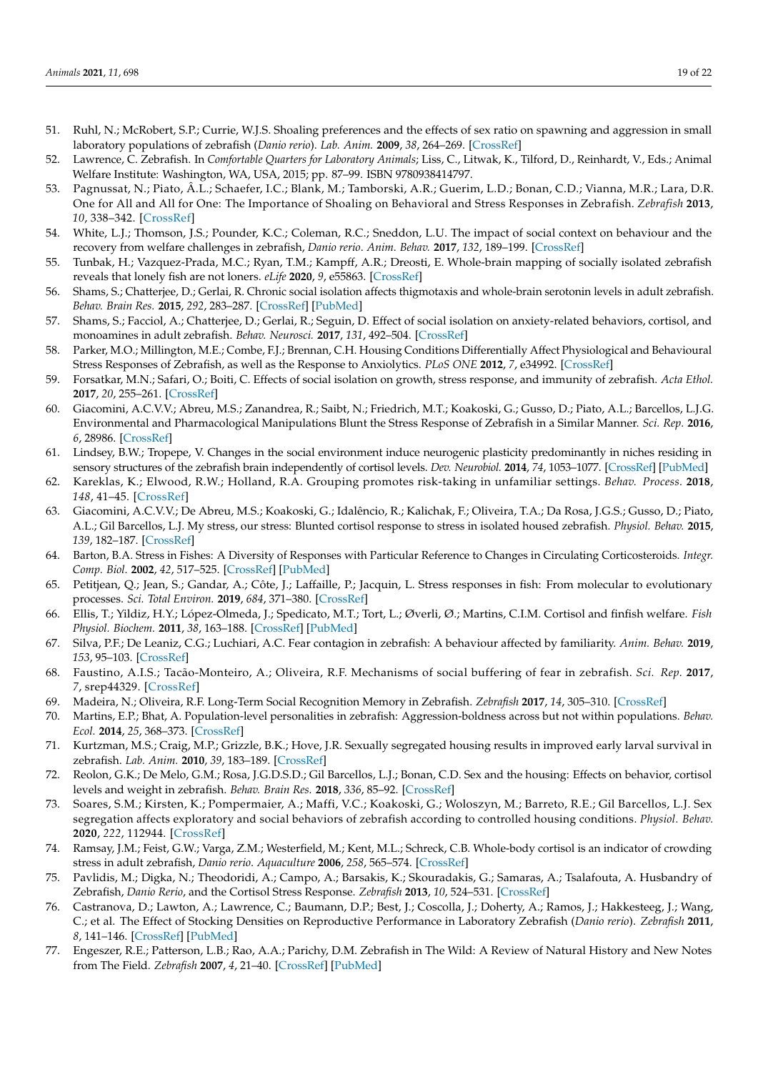- <span id="page-18-0"></span>51. Ruhl, N.; McRobert, S.P.; Currie, W.J.S. Shoaling preferences and the effects of sex ratio on spawning and aggression in small laboratory populations of zebrafish (*Danio rerio*). *Lab. Anim.* **2009**, *38*, 264–269. [\[CrossRef\]](http://doi.org/10.1038/laban0809-264)
- <span id="page-18-1"></span>52. Lawrence, C. Zebrafish. In *Comfortable Quarters for Laboratory Animals*; Liss, C., Litwak, K., Tilford, D., Reinhardt, V., Eds.; Animal Welfare Institute: Washington, WA, USA, 2015; pp. 87–99. ISBN 9780938414797.
- <span id="page-18-2"></span>53. Pagnussat, N.; Piato, Â.L.; Schaefer, I.C.; Blank, M.; Tamborski, A.R.; Guerim, L.D.; Bonan, C.D.; Vianna, M.R.; Lara, D.R. One for All and All for One: The Importance of Shoaling on Behavioral and Stress Responses in Zebrafish. *Zebrafish* **2013**, *10*, 338–342. [\[CrossRef\]](http://doi.org/10.1089/zeb.2013.0867)
- <span id="page-18-10"></span>54. White, L.J.; Thomson, J.S.; Pounder, K.C.; Coleman, R.C.; Sneddon, L.U. The impact of social context on behaviour and the recovery from welfare challenges in zebrafish, *Danio rerio*. *Anim. Behav.* **2017**, *132*, 189–199. [\[CrossRef\]](http://doi.org/10.1016/j.anbehav.2017.08.017)
- <span id="page-18-3"></span>55. Tunbak, H.; Vazquez-Prada, M.C.; Ryan, T.M.; Kampff, A.R.; Dreosti, E. Whole-brain mapping of socially isolated zebrafish reveals that lonely fish are not loners. *eLife* **2020**, *9*, e55863. [\[CrossRef\]](http://doi.org/10.7554/eLife.55863)
- <span id="page-18-4"></span>56. Shams, S.; Chatterjee, D.; Gerlai, R. Chronic social isolation affects thigmotaxis and whole-brain serotonin levels in adult zebrafish. *Behav. Brain Res.* **2015**, *292*, 283–287. [\[CrossRef\]](http://doi.org/10.1016/j.bbr.2015.05.061) [\[PubMed\]](http://www.ncbi.nlm.nih.gov/pubmed/26119237)
- <span id="page-18-5"></span>57. Shams, S.; Facciol, A.; Chatterjee, D.; Gerlai, R.; Seguin, D. Effect of social isolation on anxiety-related behaviors, cortisol, and monoamines in adult zebrafish. *Behav. Neurosci.* **2017**, *131*, 492–504. [\[CrossRef\]](http://doi.org/10.1037/bne0000220)
- <span id="page-18-6"></span>58. Parker, M.O.; Millington, M.E.; Combe, F.J.; Brennan, C.H. Housing Conditions Differentially Affect Physiological and Behavioural Stress Responses of Zebrafish, as well as the Response to Anxiolytics. *PLoS ONE* **2012**, *7*, e34992. [\[CrossRef\]](http://doi.org/10.1371/journal.pone.0034992)
- <span id="page-18-7"></span>59. Forsatkar, M.N.; Safari, O.; Boiti, C. Effects of social isolation on growth, stress response, and immunity of zebrafish. *Acta Ethol.* **2017**, *20*, 255–261. [\[CrossRef\]](http://doi.org/10.1007/s10211-017-0270-7)
- <span id="page-18-8"></span>60. Giacomini, A.C.V.V.; Abreu, M.S.; Zanandrea, R.; Saibt, N.; Friedrich, M.T.; Koakoski, G.; Gusso, D.; Piato, A.L.; Barcellos, L.J.G. Environmental and Pharmacological Manipulations Blunt the Stress Response of Zebrafish in a Similar Manner. *Sci. Rep.* **2016**, *6*, 28986. [\[CrossRef\]](http://doi.org/10.1038/srep28986)
- <span id="page-18-9"></span>61. Lindsey, B.W.; Tropepe, V. Changes in the social environment induce neurogenic plasticity predominantly in niches residing in sensory structures of the zebrafish brain independently of cortisol levels. *Dev. Neurobiol.* **2014**, *74*, 1053–1077. [\[CrossRef\]](http://doi.org/10.1002/dneu.22183) [\[PubMed\]](http://www.ncbi.nlm.nih.gov/pubmed/24753454)
- <span id="page-18-11"></span>62. Kareklas, K.; Elwood, R.W.; Holland, R.A. Grouping promotes risk-taking in unfamiliar settings. *Behav. Process.* **2018**, *148*, 41–45. [\[CrossRef\]](http://doi.org/10.1016/j.beproc.2018.01.003)
- <span id="page-18-12"></span>63. Giacomini, A.C.V.V.; De Abreu, M.S.; Koakoski, G.; Idalêncio, R.; Kalichak, F.; Oliveira, T.A.; Da Rosa, J.G.S.; Gusso, D.; Piato, A.L.; Gil Barcellos, L.J. My stress, our stress: Blunted cortisol response to stress in isolated housed zebrafish. *Physiol. Behav.* **2015**, *139*, 182–187. [\[CrossRef\]](http://doi.org/10.1016/j.physbeh.2014.11.035)
- <span id="page-18-13"></span>64. Barton, B.A. Stress in Fishes: A Diversity of Responses with Particular Reference to Changes in Circulating Corticosteroids. *Integr. Comp. Biol.* **2002**, *42*, 517–525. [\[CrossRef\]](http://doi.org/10.1093/icb/42.3.517) [\[PubMed\]](http://www.ncbi.nlm.nih.gov/pubmed/21708747)
- <span id="page-18-14"></span>65. Petitjean, Q.; Jean, S.; Gandar, A.; Côte, J.; Laffaille, P.; Jacquin, L. Stress responses in fish: From molecular to evolutionary processes. *Sci. Total Environ.* **2019**, *684*, 371–380. [\[CrossRef\]](http://doi.org/10.1016/j.scitotenv.2019.05.357)
- <span id="page-18-15"></span>66. Ellis, T.; Yildiz, H.Y.; López-Olmeda, J.; Spedicato, M.T.; Tort, L.; Øverli, Ø.; Martins, C.I.M. Cortisol and finfish welfare. *Fish Physiol. Biochem.* **2011**, *38*, 163–188. [\[CrossRef\]](http://doi.org/10.1007/s10695-011-9568-y) [\[PubMed\]](http://www.ncbi.nlm.nih.gov/pubmed/22113503)
- <span id="page-18-16"></span>67. Silva, P.F.; De Leaniz, C.G.; Luchiari, A.C. Fear contagion in zebrafish: A behaviour affected by familiarity. *Anim. Behav.* **2019**, *153*, 95–103. [\[CrossRef\]](http://doi.org/10.1016/j.anbehav.2019.05.004)
- <span id="page-18-17"></span>68. Faustino, A.I.S.; Tacão-Monteiro, A.; Oliveira, R.F. Mechanisms of social buffering of fear in zebrafish. *Sci. Rep.* **2017**, *7*, srep44329. [\[CrossRef\]](http://doi.org/10.1038/srep44329)
- <span id="page-18-18"></span>69. Madeira, N.; Oliveira, R.F. Long-Term Social Recognition Memory in Zebrafish. *Zebrafish* **2017**, *14*, 305–310. [\[CrossRef\]](http://doi.org/10.1089/zeb.2017.1430)
- <span id="page-18-19"></span>70. Martins, E.P.; Bhat, A. Population-level personalities in zebrafish: Aggression-boldness across but not within populations. *Behav. Ecol.* **2014**, *25*, 368–373. [\[CrossRef\]](http://doi.org/10.1093/beheco/aru007)
- <span id="page-18-20"></span>71. Kurtzman, M.S.; Craig, M.P.; Grizzle, B.K.; Hove, J.R. Sexually segregated housing results in improved early larval survival in zebrafish. *Lab. Anim.* **2010**, *39*, 183–189. [\[CrossRef\]](http://doi.org/10.1038/laban0610-183)
- <span id="page-18-21"></span>72. Reolon, G.K.; De Melo, G.M.; Rosa, J.G.D.S.D.; Gil Barcellos, L.J.; Bonan, C.D. Sex and the housing: Effects on behavior, cortisol levels and weight in zebrafish. *Behav. Brain Res.* **2018**, *336*, 85–92. [\[CrossRef\]](http://doi.org/10.1016/j.bbr.2017.08.006)
- <span id="page-18-22"></span>73. Soares, S.M.; Kirsten, K.; Pompermaier, A.; Maffi, V.C.; Koakoski, G.; Woloszyn, M.; Barreto, R.E.; Gil Barcellos, L.J. Sex segregation affects exploratory and social behaviors of zebrafish according to controlled housing conditions. *Physiol. Behav.* **2020**, *222*, 112944. [\[CrossRef\]](http://doi.org/10.1016/j.physbeh.2020.112944)
- <span id="page-18-23"></span>74. Ramsay, J.M.; Feist, G.W.; Varga, Z.M.; Westerfield, M.; Kent, M.L.; Schreck, C.B. Whole-body cortisol is an indicator of crowding stress in adult zebrafish, *Danio rerio*. *Aquaculture* **2006**, *258*, 565–574. [\[CrossRef\]](http://doi.org/10.1016/j.aquaculture.2006.04.020)
- <span id="page-18-24"></span>75. Pavlidis, M.; Digka, N.; Theodoridi, A.; Campo, A.; Barsakis, K.; Skouradakis, G.; Samaras, A.; Tsalafouta, A. Husbandry of Zebrafish, *Danio Rerio*, and the Cortisol Stress Response. *Zebrafish* **2013**, *10*, 524–531. [\[CrossRef\]](http://doi.org/10.1089/zeb.2012.0819)
- <span id="page-18-25"></span>76. Castranova, D.; Lawton, A.; Lawrence, C.; Baumann, D.P.; Best, J.; Coscolla, J.; Doherty, A.; Ramos, J.; Hakkesteeg, J.; Wang, C.; et al. The Effect of Stocking Densities on Reproductive Performance in Laboratory Zebrafish (*Danio rerio*). *Zebrafish* **2011**, *8*, 141–146. [\[CrossRef\]](http://doi.org/10.1089/zeb.2011.0688) [\[PubMed\]](http://www.ncbi.nlm.nih.gov/pubmed/21854208)
- <span id="page-18-26"></span>77. Engeszer, R.E.; Patterson, L.B.; Rao, A.A.; Parichy, D.M. Zebrafish in The Wild: A Review of Natural History and New Notes from The Field. *Zebrafish* **2007**, *4*, 21–40. [\[CrossRef\]](http://doi.org/10.1089/zeb.2006.9997) [\[PubMed\]](http://www.ncbi.nlm.nih.gov/pubmed/18041940)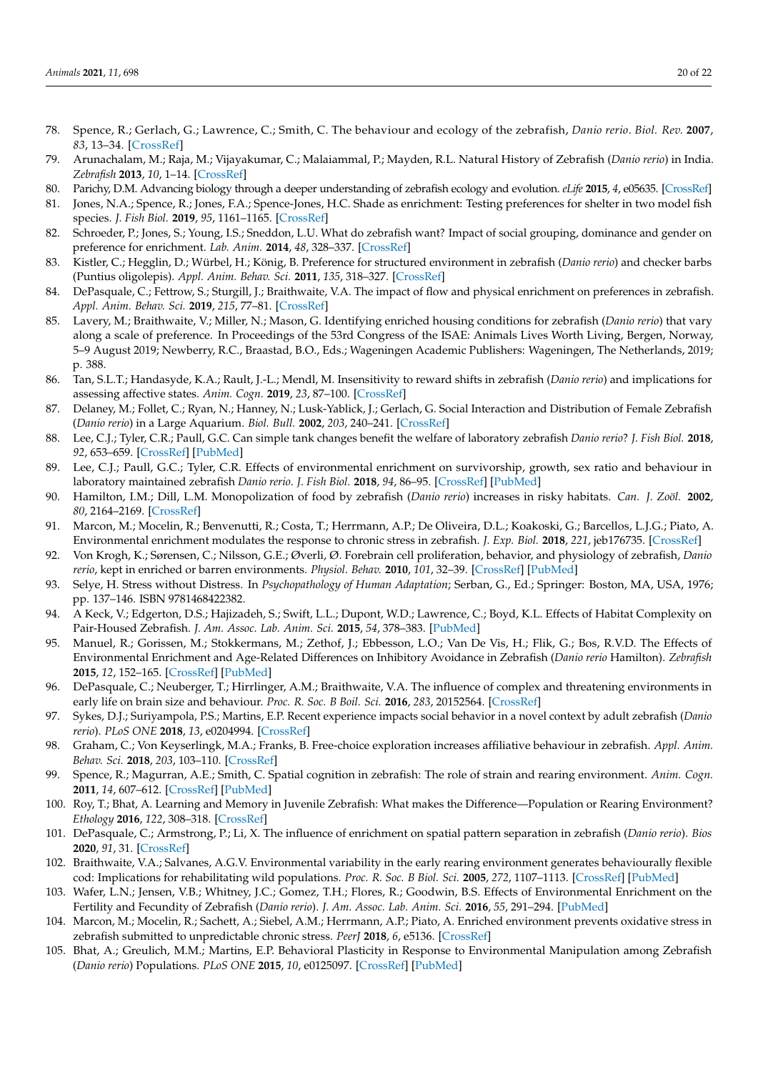- <span id="page-19-26"></span>78. Spence, R.; Gerlach, G.; Lawrence, C.; Smith, C. The behaviour and ecology of the zebrafish, *Danio rerio*. *Biol. Rev.* **2007**, *83*, 13–34. [\[CrossRef\]](http://doi.org/10.1111/j.1469-185X.2007.00030.x)
- 79. Arunachalam, M.; Raja, M.; Vijayakumar, C.; Malaiammal, P.; Mayden, R.L. Natural History of Zebrafish (*Danio rerio*) in India. *Zebrafish* **2013**, *10*, 1–14. [\[CrossRef\]](http://doi.org/10.1089/zeb.2012.0803)
- <span id="page-19-0"></span>80. Parichy, D.M. Advancing biology through a deeper understanding of zebrafish ecology and evolution. *eLife* **2015**, *4*, e05635. [\[CrossRef\]](http://doi.org/10.7554/eLife.05635)
- <span id="page-19-1"></span>81. Jones, N.A.; Spence, R.; Jones, F.A.; Spence-Jones, H.C. Shade as enrichment: Testing preferences for shelter in two model fish species. *J. Fish Biol.* **2019**, *95*, 1161–1165. [\[CrossRef\]](http://doi.org/10.1111/jfb.14129)
- <span id="page-19-2"></span>82. Schroeder, P.; Jones, S.; Young, I.S.; Sneddon, L.U. What do zebrafish want? Impact of social grouping, dominance and gender on preference for enrichment. *Lab. Anim.* **2014**, *48*, 328–337. [\[CrossRef\]](http://doi.org/10.1177/0023677214538239)
- <span id="page-19-21"></span>83. Kistler, C.; Hegglin, D.; Würbel, H.; König, B. Preference for structured environment in zebrafish (*Danio rerio*) and checker barbs (Puntius oligolepis). *Appl. Anim. Behav. Sci.* **2011**, *135*, 318–327. [\[CrossRef\]](http://doi.org/10.1016/j.applanim.2011.10.014)
- <span id="page-19-22"></span>84. DePasquale, C.; Fettrow, S.; Sturgill, J.; Braithwaite, V.A. The impact of flow and physical enrichment on preferences in zebrafish. *Appl. Anim. Behav. Sci.* **2019**, *215*, 77–81. [\[CrossRef\]](http://doi.org/10.1016/j.applanim.2019.03.015)
- <span id="page-19-5"></span>85. Lavery, M.; Braithwaite, V.; Miller, N.; Mason, G. Identifying enriched housing conditions for zebrafish (*Danio rerio*) that vary along a scale of preference. In Proceedings of the 53rd Congress of the ISAE: Animals Lives Worth Living, Bergen, Norway, 5–9 August 2019; Newberry, R.C., Braastad, B.O., Eds.; Wageningen Academic Publishers: Wageningen, The Netherlands, 2019; p. 388.
- <span id="page-19-3"></span>86. Tan, S.L.T.; Handasyde, K.A.; Rault, J.-L.; Mendl, M. Insensitivity to reward shifts in zebrafish (*Danio rerio*) and implications for assessing affective states. *Anim. Cogn.* **2019**, *23*, 87–100. [\[CrossRef\]](http://doi.org/10.1007/s10071-019-01318-6)
- <span id="page-19-4"></span>87. Delaney, M.; Follet, C.; Ryan, N.; Hanney, N.; Lusk-Yablick, J.; Gerlach, G. Social Interaction and Distribution of Female Zebrafish (*Danio rerio*) in a Large Aquarium. *Biol. Bull.* **2002**, *203*, 240–241. [\[CrossRef\]](http://doi.org/10.2307/1543418)
- <span id="page-19-6"></span>88. Lee, C.J.; Tyler, C.R.; Paull, G.C. Can simple tank changes benefit the welfare of laboratory zebrafish *Danio rerio*? *J. Fish Biol.* **2018**, *92*, 653–659. [\[CrossRef\]](http://doi.org/10.1111/jfb.13535) [\[PubMed\]](http://www.ncbi.nlm.nih.gov/pubmed/29363145)
- <span id="page-19-7"></span>89. Lee, C.J.; Paull, G.C.; Tyler, C.R. Effects of environmental enrichment on survivorship, growth, sex ratio and behaviour in laboratory maintained zebrafish *Danio rerio*. *J. Fish Biol.* **2018**, *94*, 86–95. [\[CrossRef\]](http://doi.org/10.1111/jfb.13865) [\[PubMed\]](http://www.ncbi.nlm.nih.gov/pubmed/30443966)
- <span id="page-19-8"></span>90. Hamilton, I.M.; Dill, L.M. Monopolization of food by zebrafish (*Danio rerio*) increases in risky habitats. *Can. J. Zoöl.* **2002**, *80*, 2164–2169. [\[CrossRef\]](http://doi.org/10.1139/z02-199)
- <span id="page-19-9"></span>91. Marcon, M.; Mocelin, R.; Benvenutti, R.; Costa, T.; Herrmann, A.P.; De Oliveira, D.L.; Koakoski, G.; Barcellos, L.J.G.; Piato, A. Environmental enrichment modulates the response to chronic stress in zebrafish. *J. Exp. Biol.* **2018**, *221*, jeb176735. [\[CrossRef\]](http://doi.org/10.1242/jeb.176735)
- <span id="page-19-10"></span>92. Von Krogh, K.; Sørensen, C.; Nilsson, G.E.; Øverli, Ø. Forebrain cell proliferation, behavior, and physiology of zebrafish, *Danio rerio*, kept in enriched or barren environments. *Physiol. Behav.* **2010**, *101*, 32–39. [\[CrossRef\]](http://doi.org/10.1016/j.physbeh.2010.04.003) [\[PubMed\]](http://www.ncbi.nlm.nih.gov/pubmed/20385156)
- <span id="page-19-11"></span>93. Selye, H. Stress without Distress. In *Psychopathology of Human Adaptation*; Serban, G., Ed.; Springer: Boston, MA, USA, 1976; pp. 137–146. ISBN 9781468422382.
- <span id="page-19-12"></span>94. A Keck, V.; Edgerton, D.S.; Hajizadeh, S.; Swift, L.L.; Dupont, W.D.; Lawrence, C.; Boyd, K.L. Effects of Habitat Complexity on Pair-Housed Zebrafish. *J. Am. Assoc. Lab. Anim. Sci.* **2015**, *54*, 378–383. [\[PubMed\]](http://www.ncbi.nlm.nih.gov/pubmed/26224437)
- <span id="page-19-13"></span>95. Manuel, R.; Gorissen, M.; Stokkermans, M.; Zethof, J.; Ebbesson, L.O.; Van De Vis, H.; Flik, G.; Bos, R.V.D. The Effects of Environmental Enrichment and Age-Related Differences on Inhibitory Avoidance in Zebrafish (*Danio rerio* Hamilton). *Zebrafish* **2015**, *12*, 152–165. [\[CrossRef\]](http://doi.org/10.1089/zeb.2014.1045) [\[PubMed\]](http://www.ncbi.nlm.nih.gov/pubmed/25646635)
- <span id="page-19-14"></span>96. DePasquale, C.; Neuberger, T.; Hirrlinger, A.M.; Braithwaite, V.A. The influence of complex and threatening environments in early life on brain size and behaviour. *Proc. R. Soc. B Boil. Sci.* **2016**, *283*, 20152564. [\[CrossRef\]](http://doi.org/10.1098/rspb.2015.2564)
- <span id="page-19-15"></span>97. Sykes, D.J.; Suriyampola, P.S.; Martins, E.P. Recent experience impacts social behavior in a novel context by adult zebrafish (*Danio rerio*). *PLoS ONE* **2018**, *13*, e0204994. [\[CrossRef\]](http://doi.org/10.1371/journal.pone.0204994)
- <span id="page-19-16"></span>98. Graham, C.; Von Keyserlingk, M.A.; Franks, B. Free-choice exploration increases affiliative behaviour in zebrafish. *Appl. Anim. Behav. Sci.* **2018**, *203*, 103–110. [\[CrossRef\]](http://doi.org/10.1016/j.applanim.2018.02.005)
- <span id="page-19-17"></span>99. Spence, R.; Magurran, A.E.; Smith, C. Spatial cognition in zebrafish: The role of strain and rearing environment. *Anim. Cogn.* **2011**, *14*, 607–612. [\[CrossRef\]](http://doi.org/10.1007/s10071-011-0391-8) [\[PubMed\]](http://www.ncbi.nlm.nih.gov/pubmed/21360117)
- <span id="page-19-18"></span>100. Roy, T.; Bhat, A. Learning and Memory in Juvenile Zebrafish: What makes the Difference—Population or Rearing Environment? *Ethology* **2016**, *122*, 308–318. [\[CrossRef\]](http://doi.org/10.1111/eth.12470)
- <span id="page-19-19"></span>101. DePasquale, C.; Armstrong, P.; Li, X. The influence of enrichment on spatial pattern separation in zebrafish (*Danio rerio*). *Bios* **2020**, *91*, 31. [\[CrossRef\]](http://doi.org/10.1893/BIOS-D-18-00005)
- <span id="page-19-20"></span>102. Braithwaite, V.A.; Salvanes, A.G.V. Environmental variability in the early rearing environment generates behaviourally flexible cod: Implications for rehabilitating wild populations. *Proc. R. Soc. B Biol. Sci.* **2005**, *272*, 1107–1113. [\[CrossRef\]](http://doi.org/10.1098/rspb.2005.3062) [\[PubMed\]](http://www.ncbi.nlm.nih.gov/pubmed/16024371)
- <span id="page-19-23"></span>103. Wafer, L.N.; Jensen, V.B.; Whitney, J.C.; Gomez, T.H.; Flores, R.; Goodwin, B.S. Effects of Environmental Enrichment on the Fertility and Fecundity of Zebrafish (*Danio rerio*). *J. Am. Assoc. Lab. Anim. Sci.* **2016**, *55*, 291–294. [\[PubMed\]](http://www.ncbi.nlm.nih.gov/pubmed/27177561)
- <span id="page-19-24"></span>104. Marcon, M.; Mocelin, R.; Sachett, A.; Siebel, A.M.; Herrmann, A.P.; Piato, A. Enriched environment prevents oxidative stress in zebrafish submitted to unpredictable chronic stress. *PeerJ* **2018**, *6*, e5136. [\[CrossRef\]](http://doi.org/10.7717/peerj.5136)
- <span id="page-19-25"></span>105. Bhat, A.; Greulich, M.M.; Martins, E.P. Behavioral Plasticity in Response to Environmental Manipulation among Zebrafish (*Danio rerio*) Populations. *PLoS ONE* **2015**, *10*, e0125097. [\[CrossRef\]](http://doi.org/10.1371/journal.pone.0125097) [\[PubMed\]](http://www.ncbi.nlm.nih.gov/pubmed/25927838)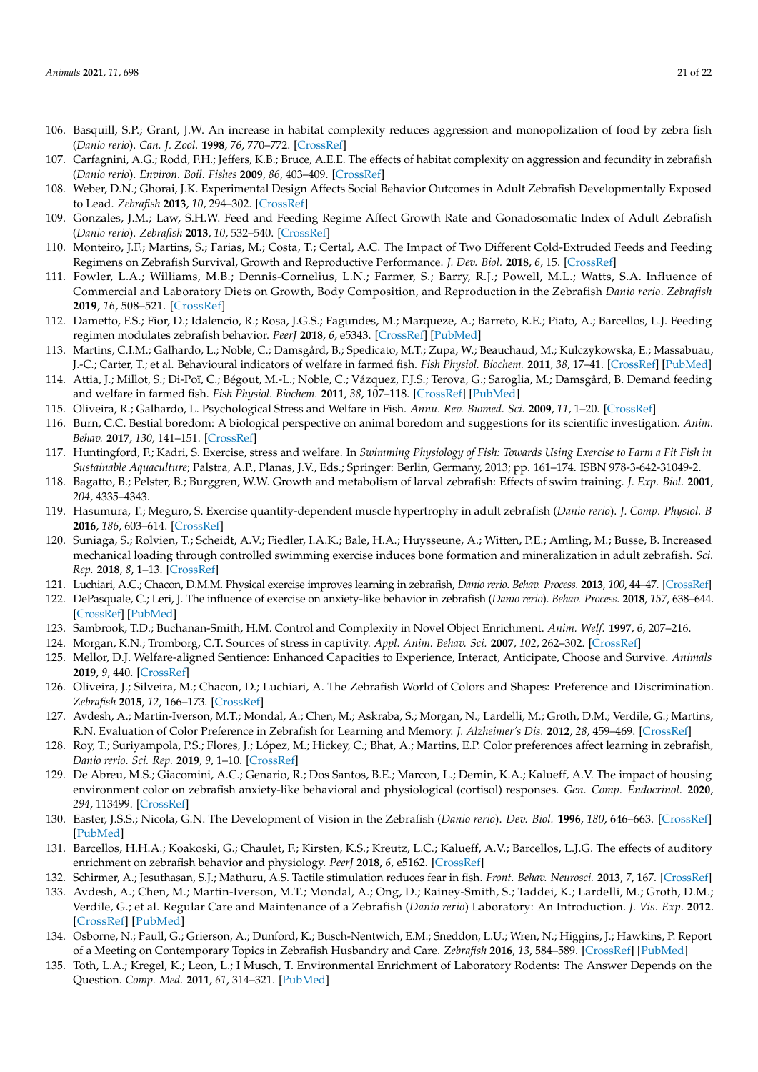- <span id="page-20-0"></span>106. Basquill, S.P.; Grant, J.W. An increase in habitat complexity reduces aggression and monopolization of food by zebra fish (*Danio rerio*). *Can. J. Zoöl.* **1998**, *76*, 770–772. [\[CrossRef\]](http://doi.org/10.1139/z97-232)
- <span id="page-20-1"></span>107. Carfagnini, A.G.; Rodd, F.H.; Jeffers, K.B.; Bruce, A.E.E. The effects of habitat complexity on aggression and fecundity in zebrafish (*Danio rerio*). *Environ. Boil. Fishes* **2009**, *86*, 403–409. [\[CrossRef\]](http://doi.org/10.1007/s10641-009-9539-7)
- <span id="page-20-2"></span>108. Weber, D.N.; Ghorai, J.K. Experimental Design Affects Social Behavior Outcomes in Adult Zebrafish Developmentally Exposed to Lead. *Zebrafish* **2013**, *10*, 294–302. [\[CrossRef\]](http://doi.org/10.1089/zeb.2012.0780)
- <span id="page-20-3"></span>109. Gonzales, J.M.; Law, S.H.W. Feed and Feeding Regime Affect Growth Rate and Gonadosomatic Index of Adult Zebrafish (*Danio rerio*). *Zebrafish* **2013**, *10*, 532–540. [\[CrossRef\]](http://doi.org/10.1089/zeb.2013.0891)
- 110. Monteiro, J.F.; Martins, S.; Farias, M.; Costa, T.; Certal, A.C. The Impact of Two Different Cold-Extruded Feeds and Feeding Regimens on Zebrafish Survival, Growth and Reproductive Performance. *J. Dev. Biol.* **2018**, *6*, 15. [\[CrossRef\]](http://doi.org/10.3390/jdb6030015)
- <span id="page-20-4"></span>111. Fowler, L.A.; Williams, M.B.; Dennis-Cornelius, L.N.; Farmer, S.; Barry, R.J.; Powell, M.L.; Watts, S.A. Influence of Commercial and Laboratory Diets on Growth, Body Composition, and Reproduction in the Zebrafish *Danio rerio*. *Zebrafish* **2019**, *16*, 508–521. [\[CrossRef\]](http://doi.org/10.1089/zeb.2019.1742)
- <span id="page-20-5"></span>112. Dametto, F.S.; Fior, D.; Idalencio, R.; Rosa, J.G.S.; Fagundes, M.; Marqueze, A.; Barreto, R.E.; Piato, A.; Barcellos, L.J. Feeding regimen modulates zebrafish behavior. *PeerJ* **2018**, *6*, e5343. [\[CrossRef\]](http://doi.org/10.7717/peerj.5343) [\[PubMed\]](http://www.ncbi.nlm.nih.gov/pubmed/30090692)
- <span id="page-20-6"></span>113. Martins, C.I.M.; Galhardo, L.; Noble, C.; Damsgård, B.; Spedicato, M.T.; Zupa, W.; Beauchaud, M.; Kulczykowska, E.; Massabuau, J.-C.; Carter, T.; et al. Behavioural indicators of welfare in farmed fish. *Fish Physiol. Biochem.* **2011**, *38*, 17–41. [\[CrossRef\]](http://doi.org/10.1007/s10695-011-9518-8) [\[PubMed\]](http://www.ncbi.nlm.nih.gov/pubmed/21796377)
- <span id="page-20-7"></span>114. Attia, J.; Millot, S.; Di-Poï, C.; Bégout, M.-L.; Noble, C.; Vázquez, F.J.S.; Terova, G.; Saroglia, M.; Damsgård, B. Demand feeding and welfare in farmed fish. *Fish Physiol. Biochem.* **2011**, *38*, 107–118. [\[CrossRef\]](http://doi.org/10.1007/s10695-011-9538-4) [\[PubMed\]](http://www.ncbi.nlm.nih.gov/pubmed/21728053)
- <span id="page-20-8"></span>115. Oliveira, R.; Galhardo, L. Psychological Stress and Welfare in Fish. *Annu. Rev. Biomed. Sci.* **2009**, *11*, 1–20. [\[CrossRef\]](http://doi.org/10.5016/1806-8774.2009v11p1)
- <span id="page-20-9"></span>116. Burn, C.C. Bestial boredom: A biological perspective on animal boredom and suggestions for its scientific investigation. *Anim. Behav.* **2017**, *130*, 141–151. [\[CrossRef\]](http://doi.org/10.1016/j.anbehav.2017.06.006)
- <span id="page-20-10"></span>117. Huntingford, F.; Kadri, S. Exercise, stress and welfare. In *Swimming Physiology of Fish: Towards Using Exercise to Farm a Fit Fish in Sustainable Aquaculture*; Palstra, A.P., Planas, J.V., Eds.; Springer: Berlin, Germany, 2013; pp. 161–174. ISBN 978-3-642-31049-2.
- <span id="page-20-11"></span>118. Bagatto, B.; Pelster, B.; Burggren, W.W. Growth and metabolism of larval zebrafish: Effects of swim training. *J. Exp. Biol.* **2001**, *204*, 4335–4343.
- <span id="page-20-12"></span>119. Hasumura, T.; Meguro, S. Exercise quantity-dependent muscle hypertrophy in adult zebrafish (*Danio rerio*). *J. Comp. Physiol. B* **2016**, *186*, 603–614. [\[CrossRef\]](http://doi.org/10.1007/s00360-016-0977-1)
- <span id="page-20-13"></span>120. Suniaga, S.; Rolvien, T.; Scheidt, A.V.; Fiedler, I.A.K.; Bale, H.A.; Huysseune, A.; Witten, P.E.; Amling, M.; Busse, B. Increased mechanical loading through controlled swimming exercise induces bone formation and mineralization in adult zebrafish. *Sci. Rep.* **2018**, *8*, 1–13. [\[CrossRef\]](http://doi.org/10.1038/s41598-018-21776-1)
- <span id="page-20-14"></span>121. Luchiari, A.C.; Chacon, D.M.M. Physical exercise improves learning in zebrafish, *Danio rerio*. *Behav. Process.* **2013**, *100*, 44–47. [\[CrossRef\]](http://doi.org/10.1016/j.beproc.2013.07.020)
- <span id="page-20-15"></span>122. DePasquale, C.; Leri, J. The influence of exercise on anxiety-like behavior in zebrafish (*Danio rerio*). *Behav. Process.* **2018**, *157*, 638–644. [\[CrossRef\]](http://doi.org/10.1016/j.beproc.2018.04.006) [\[PubMed\]](http://www.ncbi.nlm.nih.gov/pubmed/29656096)
- <span id="page-20-16"></span>123. Sambrook, T.D.; Buchanan-Smith, H.M. Control and Complexity in Novel Object Enrichment. *Anim. Welf.* **1997**, *6*, 207–216.
- 124. Morgan, K.N.; Tromborg, C.T. Sources of stress in captivity. *Appl. Anim. Behav. Sci.* **2007**, *102*, 262–302. [\[CrossRef\]](http://doi.org/10.1016/j.applanim.2006.05.032)
- <span id="page-20-17"></span>125. Mellor, D.J. Welfare-aligned Sentience: Enhanced Capacities to Experience, Interact, Anticipate, Choose and Survive. *Animals* **2019**, *9*, 440. [\[CrossRef\]](http://doi.org/10.3390/ani9070440)
- <span id="page-20-18"></span>126. Oliveira, J.; Silveira, M.; Chacon, D.; Luchiari, A. The Zebrafish World of Colors and Shapes: Preference and Discrimination. *Zebrafish* **2015**, *12*, 166–173. [\[CrossRef\]](http://doi.org/10.1089/zeb.2014.1019)
- <span id="page-20-19"></span>127. Avdesh, A.; Martin-Iverson, M.T.; Mondal, A.; Chen, M.; Askraba, S.; Morgan, N.; Lardelli, M.; Groth, D.M.; Verdile, G.; Martins, R.N. Evaluation of Color Preference in Zebrafish for Learning and Memory. *J. Alzheimer's Dis.* **2012**, *28*, 459–469. [\[CrossRef\]](http://doi.org/10.3233/JAD-2011-110704)
- <span id="page-20-20"></span>128. Roy, T.; Suriyampola, P.S.; Flores, J.; López, M.; Hickey, C.; Bhat, A.; Martins, E.P. Color preferences affect learning in zebrafish, *Danio rerio*. *Sci. Rep.* **2019**, *9*, 1–10. [\[CrossRef\]](http://doi.org/10.1038/s41598-019-51145-5)
- <span id="page-20-21"></span>129. De Abreu, M.S.; Giacomini, A.C.; Genario, R.; Dos Santos, B.E.; Marcon, L.; Demin, K.A.; Kalueff, A.V. The impact of housing environment color on zebrafish anxiety-like behavioral and physiological (cortisol) responses. *Gen. Comp. Endocrinol.* **2020**, *294*, 113499. [\[CrossRef\]](http://doi.org/10.1016/j.ygcen.2020.113499)
- <span id="page-20-22"></span>130. Easter, J.S.S.; Nicola, G.N. The Development of Vision in the Zebrafish (*Danio rerio*). *Dev. Biol.* **1996**, *180*, 646–663. [\[CrossRef\]](http://doi.org/10.1006/dbio.1996.0335) [\[PubMed\]](http://www.ncbi.nlm.nih.gov/pubmed/8954734)
- <span id="page-20-23"></span>131. Barcellos, H.H.A.; Koakoski, G.; Chaulet, F.; Kirsten, K.S.; Kreutz, L.C.; Kalueff, A.V.; Barcellos, L.J.G. The effects of auditory enrichment on zebrafish behavior and physiology. *PeerJ* **2018**, *6*, e5162. [\[CrossRef\]](http://doi.org/10.7717/peerj.5162)
- <span id="page-20-25"></span>132. Schirmer, A.; Jesuthasan, S.J.; Mathuru, A.S. Tactile stimulation reduces fear in fish. *Front. Behav. Neurosci.* **2013**, *7*, 167. [\[CrossRef\]](http://doi.org/10.3389/fnbeh.2013.00167)
- <span id="page-20-24"></span>133. Avdesh, A.; Chen, M.; Martin-Iverson, M.T.; Mondal, A.; Ong, D.; Rainey-Smith, S.; Taddei, K.; Lardelli, M.; Groth, D.M.; Verdile, G.; et al. Regular Care and Maintenance of a Zebrafish (*Danio rerio*) Laboratory: An Introduction. *J. Vis. Exp.* **2012**. [\[CrossRef\]](http://doi.org/10.3791/4196) [\[PubMed\]](http://www.ncbi.nlm.nih.gov/pubmed/23183629)
- <span id="page-20-26"></span>134. Osborne, N.; Paull, G.; Grierson, A.; Dunford, K.; Busch-Nentwich, E.M.; Sneddon, L.U.; Wren, N.; Higgins, J.; Hawkins, P. Report of a Meeting on Contemporary Topics in Zebrafish Husbandry and Care. *Zebrafish* **2016**, *13*, 584–589. [\[CrossRef\]](http://doi.org/10.1089/zeb.2016.1324) [\[PubMed\]](http://www.ncbi.nlm.nih.gov/pubmed/27537782)
- <span id="page-20-27"></span>135. Toth, L.A.; Kregel, K.; Leon, L.; I Musch, T. Environmental Enrichment of Laboratory Rodents: The Answer Depends on the Question. *Comp. Med.* **2011**, *61*, 314–321. [\[PubMed\]](http://www.ncbi.nlm.nih.gov/pubmed/22330246)